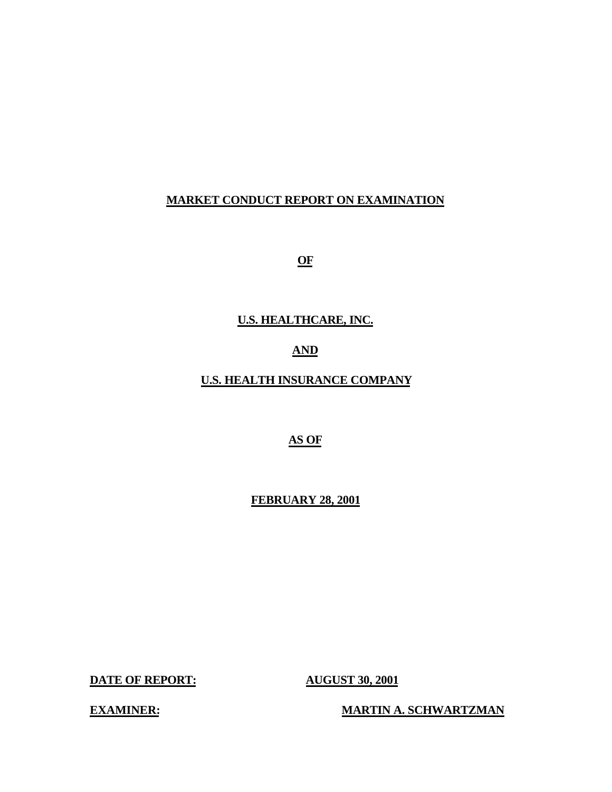# **MARKET CONDUCT REPORT ON EXAMINATION**

**OF** 

# **U.S. HEALTHCARE, INC.**

# **AND**

# **U.S. HEALTH INSURANCE COMPANY**

# **AS OF**

#### **FEBRUARY 28, 2001**

**DATE OF REPORT: AUGUST 30, 2001** 

**EXAMINER:** MARTIN A. SCHWARTZMAN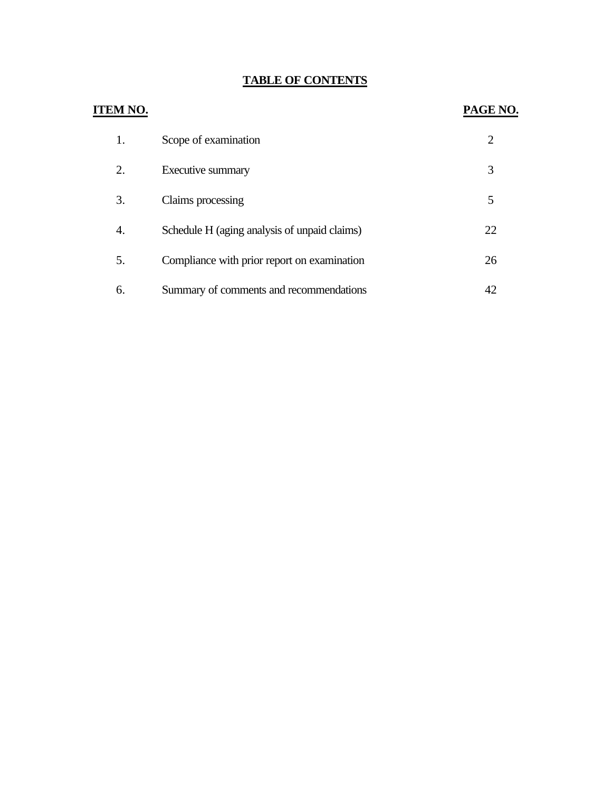# **TABLE OF CONTENTS**

| ITEM NO. |                                              | PAGE NO.       |
|----------|----------------------------------------------|----------------|
| 1.       | Scope of examination                         | $\overline{2}$ |
| 2.       | Executive summary                            | 3              |
| 3.       | Claims processing                            | 5              |
| 4.       | Schedule H (aging analysis of unpaid claims) | 22             |
| 5.       | Compliance with prior report on examination  | 26             |
| 6.       | Summary of comments and recommendations      | 42             |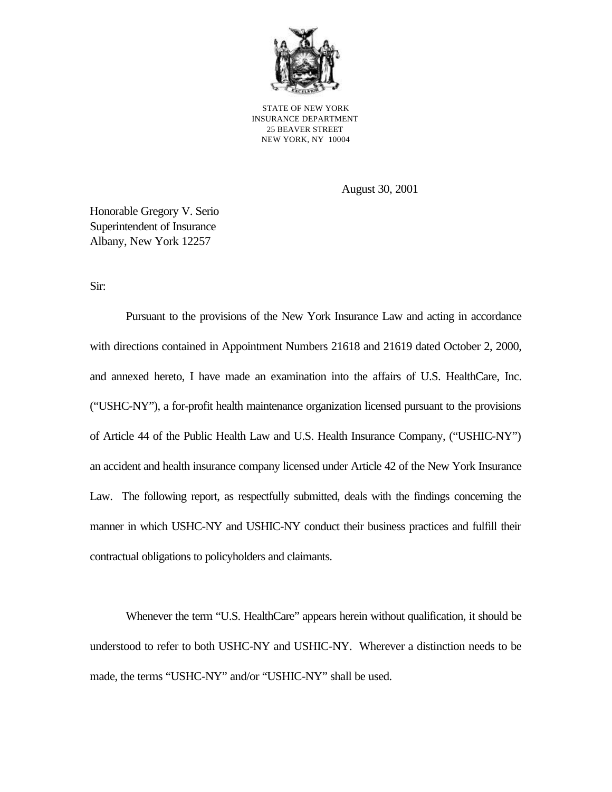

STATE OF NEW YORK INSURANCE DEPARTMENT 25 BEAVER STREET NEW YORK, NY 10004

August 30, 2001

Honorable Gregory V. Serio Superintendent of Insurance Albany, New York 12257

Sir:

Pursuant to the provisions of the New York Insurance Law and acting in accordance with directions contained in Appointment Numbers 21618 and 21619 dated October 2, 2000, and annexed hereto, I have made an examination into the affairs of U.S. HealthCare, Inc. ("USHC-NY"), a for-profit health maintenance organization licensed pursuant to the provisions of Article 44 of the Public Health Law and U.S. Health Insurance Company, ("USHIC-NY") an accident and health insurance company licensed under Article 42 of the New York Insurance Law. The following report, as respectfully submitted, deals with the findings concerning the manner in which USHC-NY and USHIC-NY conduct their business practices and fulfill their contractual obligations to policyholders and claimants.

Whenever the term "U.S. HealthCare" appears herein without qualification, it should be understood to refer to both USHC-NY and USHIC-NY. Wherever a distinction needs to be made, the terms "USHC-NY" and/or "USHIC-NY" shall be used.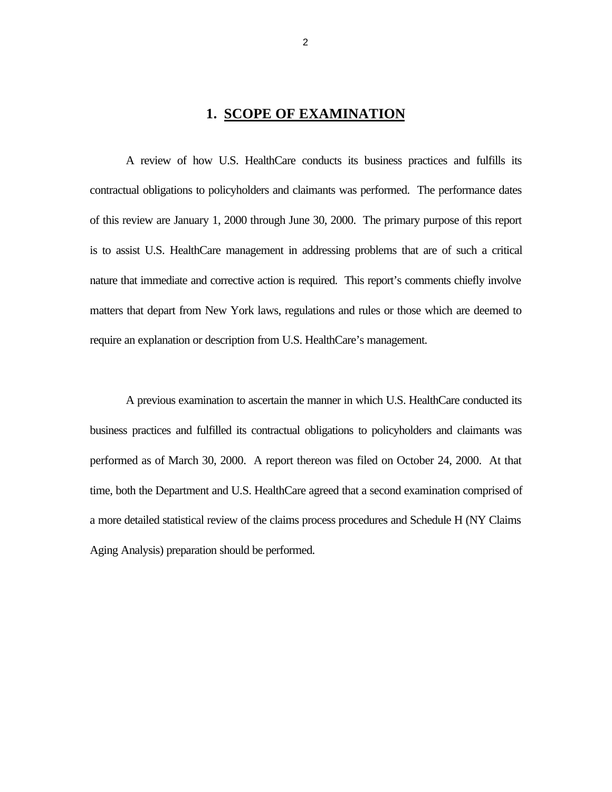# **1. SCOPE OF EXAMINATION**

A review of how U.S. HealthCare conducts its business practices and fulfills its contractual obligations to policyholders and claimants was performed. The performance dates of this review are January 1, 2000 through June 30, 2000. The primary purpose of this report is to assist U.S. HealthCare management in addressing problems that are of such a critical nature that immediate and corrective action is required. This report's comments chiefly involve matters that depart from New York laws, regulations and rules or those which are deemed to require an explanation or description from U.S. HealthCare's management.

A previous examination to ascertain the manner in which U.S. HealthCare conducted its business practices and fulfilled its contractual obligations to policyholders and claimants was performed as of March 30, 2000. A report thereon was filed on October 24, 2000. At that time, both the Department and U.S. HealthCare agreed that a second examination comprised of a more detailed statistical review of the claims process procedures and Schedule H (NY Claims Aging Analysis) preparation should be performed.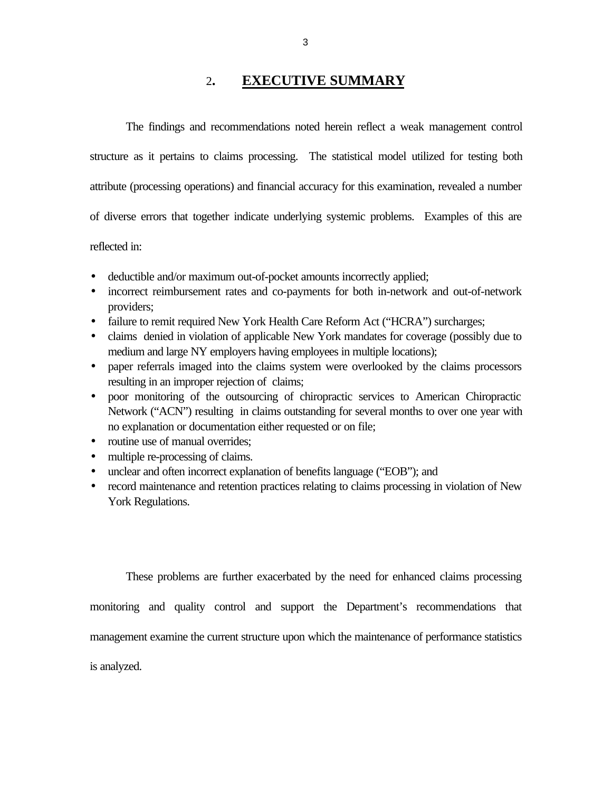# 2**. EXECUTIVE SUMMARY**

The findings and recommendations noted herein reflect a weak management control structure as it pertains to claims processing. The statistical model utilized for testing both attribute (processing operations) and financial accuracy for this examination, revealed a number of diverse errors that together indicate underlying systemic problems. Examples of this are reflected in:

- deductible and/or maximum out-of-pocket amounts incorrectly applied;
- incorrect reimbursement rates and co-payments for both in-network and out-of-network providers;
- failure to remit required New York Health Care Reform Act ("HCRA") surcharges;
- claims denied in violation of applicable New York mandates for coverage (possibly due to medium and large NY employers having employees in multiple locations);
- paper referrals imaged into the claims system were overlooked by the claims processors resulting in an improper rejection of claims;
- · poor monitoring of the outsourcing of chiropractic services to American Chiropractic Network ("ACN") resulting in claims outstanding for several months to over one year with no explanation or documentation either requested or on file;
- routine use of manual overrides:
- multiple re-processing of claims.
- unclear and often incorrect explanation of benefits language ("EOB"); and
- record maintenance and retention practices relating to claims processing in violation of New York Regulations.

These problems are further exacerbated by the need for enhanced claims processing

monitoring and quality control and support the Department's recommendations that

management examine the current structure upon which the maintenance of performance statistics

is analyzed.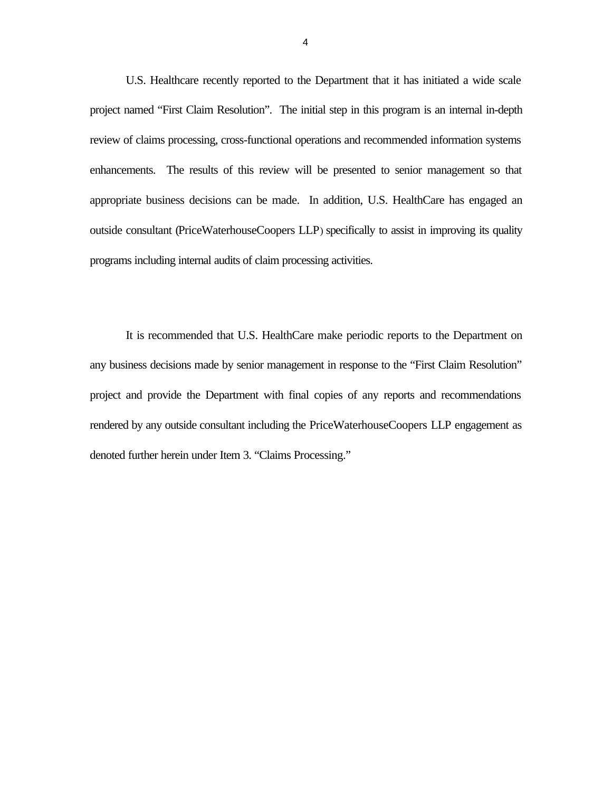U.S. Healthcare recently reported to the Department that it has initiated a wide scale project named "First Claim Resolution". The initial step in this program is an internal in-depth review of claims processing, cross-functional operations and recommended information systems enhancements. The results of this review will be presented to senior management so that appropriate business decisions can be made. In addition, U.S. HealthCare has engaged an outside consultant (PriceWaterhouseCoopers LLP) specifically to assist in improving its quality programs including internal audits of claim processing activities.

It is recommended that U.S. HealthCare make periodic reports to the Department on any business decisions made by senior management in response to the "First Claim Resolution" project and provide the Department with final copies of any reports and recommendations rendered by any outside consultant including the PriceWaterhouseCoopers LLP engagement as denoted further herein under Item 3. "Claims Processing."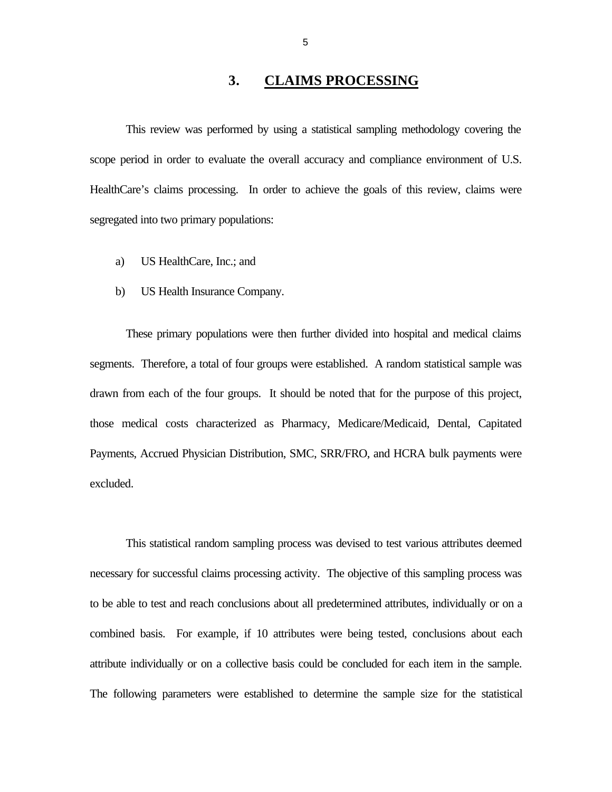# **3. CLAIMS PROCESSING**

<span id="page-7-0"></span>This review was performed by using a statistical sampling methodology covering the scope period in order to evaluate the overall accuracy and compliance environment of U.S. HealthCare's claims processing. In order to achieve the goals of this review, claims were segregated into two primary populations:

- a) US HealthCare, Inc.; and
- b) US Health Insurance Company.

These primary populations were then further divided into hospital and medical claims segments. Therefore, a total of four groups were established. A random statistical sample was drawn from each of the four groups. It should be noted that for the purpose of this project, those medical costs characterized as Pharmacy, Medicare/Medicaid, Dental, Capitated Payments, Accrued Physician Distribution, SMC, SRR/FRO, and HCRA bulk payments were excluded.

This statistical random sampling process was devised to test various attributes deemed necessary for successful claims processing activity. The objective of this sampling process was to be able to test and reach conclusions about all predetermined attributes, individually or on a combined basis. For example, if 10 attributes were being tested, conclusions about each attribute individually or on a collective basis could be concluded for each item in the sample. The following parameters were established to determine the sample size for the statistical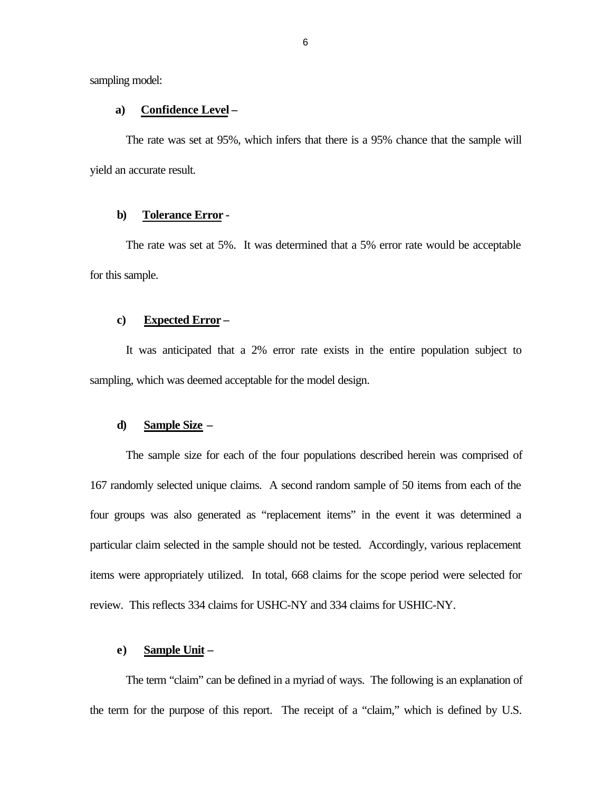sampling model:

#### **a) Confidence Level –**

The rate was set at 95%, which infers that there is a 95% chance that the sample will yield an accurate result.

#### **b) Tolerance Error -**

The rate was set at 5%. It was determined that a 5% error rate would be acceptable for this sample.

#### **c) Expected Error –**

It was anticipated that a 2% error rate exists in the entire population subject to sampling, which was deemed acceptable for the model design.

#### **d) Sample Size –**

The sample size for each of the four populations described herein was comprised of 167 randomly selected unique claims. A second random sample of 50 items from each of the four groups was also generated as "replacement items" in the event it was determined a particular claim selected in the sample should not be tested. Accordingly, various replacement items were appropriately utilized. In total, 668 claims for the scope period were selected for review. This reflects 334 claims for USHC-NY and 334 claims for USHIC-NY.

#### **e) Sample Unit –**

The term "claim" can be defined in a myriad of ways. The following is an explanation of the term for the purpose of this report. The receipt of a "claim," which is defined by U.S.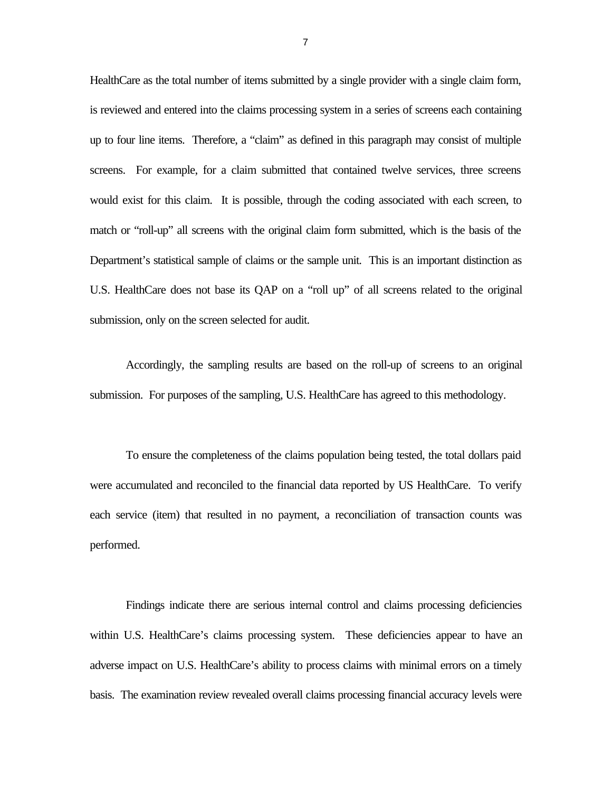HealthCare as the total number of items submitted by a single provider with a single claim form, is reviewed and entered into the claims processing system in a series of screens each containing up to four line items. Therefore, a "claim" as defined in this paragraph may consist of multiple screens. For example, for a claim submitted that contained twelve services, three screens would exist for this claim. It is possible, through the coding associated with each screen, to match or "roll-up" all screens with the original claim form submitted, which is the basis of the Department's statistical sample of claims or the sample unit. This is an important distinction as U.S. HealthCare does not base its QAP on a "roll up" of all screens related to the original submission, only on the screen selected for audit.

Accordingly, the sampling results are based on the roll-up of screens to an original submission. For purposes of the sampling, U.S. HealthCare has agreed to this methodology.

To ensure the completeness of the claims population being tested, the total dollars paid were accumulated and reconciled to the financial data reported by US HealthCare. To verify each service (item) that resulted in no payment, a reconciliation of transaction counts was performed.

Findings indicate there are serious internal control and claims processing deficiencies within U.S. HealthCare's claims processing system. These deficiencies appear to have an adverse impact on U.S. HealthCare's ability to process claims with minimal errors on a timely basis. The examination review revealed overall claims processing financial accuracy levels were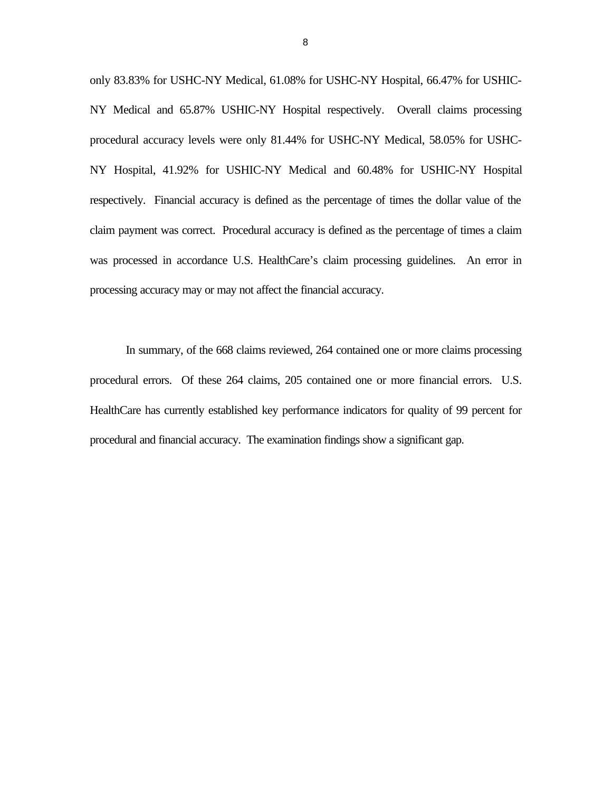only 83.83% for USHC-NY Medical, 61.08% for USHC-NY Hospital, 66.47% for USHIC-NY Medical and 65.87% USHIC-NY Hospital respectively. Overall claims processing procedural accuracy levels were only 81.44% for USHC-NY Medical, 58.05% for USHC-NY Hospital, 41.92% for USHIC-NY Medical and 60.48% for USHIC-NY Hospital respectively. Financial accuracy is defined as the percentage of times the dollar value of the claim payment was correct. Procedural accuracy is defined as the percentage of times a claim was processed in accordance U.S. HealthCare's claim processing guidelines. An error in processing accuracy may or may not affect the financial accuracy.

In summary, of the 668 claims reviewed, 264 contained one or more claims processing procedural errors. Of these 264 claims, 205 contained one or more financial errors. U.S. HealthCare has currently established key performance indicators for quality of 99 percent for procedural and financial accuracy. The examination findings show a significant gap.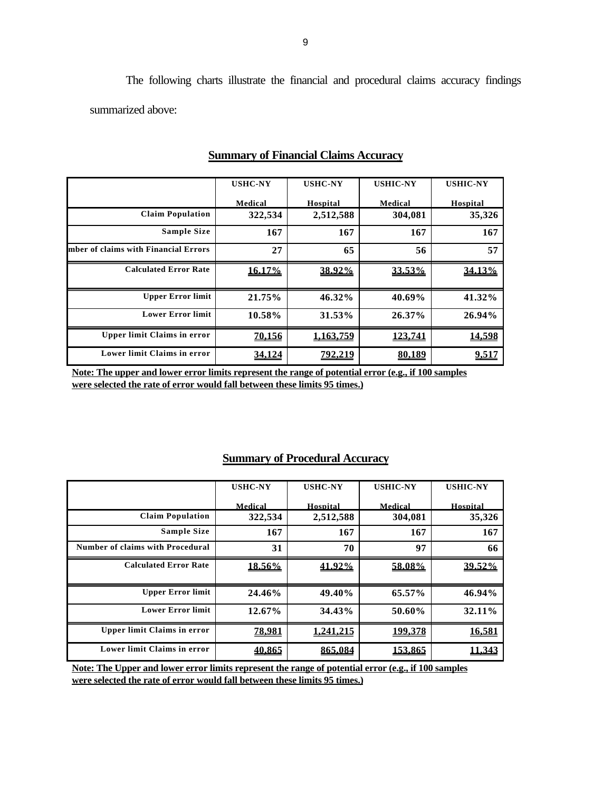The following charts illustrate the financial and procedural claims accuracy findings summarized above:

|                                      | <b>USHC-NY</b> | <b>USHC-NY</b> | <b>USHIC-NY</b> | <b>USHIC-NY</b> |
|--------------------------------------|----------------|----------------|-----------------|-----------------|
|                                      | Medical        | Hospital       | Medical         | Hospital        |
| <b>Claim Population</b>              | 322,534        | 2,512,588      | 304,081         | 35,326          |
| <b>Sample Size</b>                   | 167            | 167            | 167             | 167             |
| mber of claims with Financial Errors | 27             | 65             | 56              | 57              |
| <b>Calculated Error Rate</b>         | <u>16.17%</u>  | 38.92%         | 33.53%          | 34.13%          |
| <b>Upper Error limit</b>             | 21.75%         | 46.32%         | 40.69%          | 41.32%          |
| <b>Lower Error limit</b>             | 10.58%         | 31.53%         | 26.37%          | 26.94%          |
| <b>Upper limit Claims in error</b>   | 70,156         | 1.163.759      | 123,741         | 14,598          |
| Lower limit Claims in error          | 34.124         | 792.219        | 80.189          | 9,517           |

### **Summary of Financial Claims Accuracy**

**Note: The upper and lower error limits represent the range of potential error (e.g., if 100 samples were selected the rate of error would fall between these limits 95 times.)** 

# **Summary of Procedural Accuracy**

|                                         | <b>USHC-NY</b> | <b>USHC-NY</b> | <b>USHIC-NY</b> | <b>USHIC-NY</b> |
|-----------------------------------------|----------------|----------------|-----------------|-----------------|
|                                         |                |                |                 |                 |
|                                         | Medical        | Hospital       | Medical         | Hospital        |
| <b>Claim Population</b>                 | 322,534        | 2,512,588      | 304,081         | 35,326          |
| <b>Sample Size</b>                      | 167            | 167            | 167             | 167             |
| <b>Number of claims with Procedural</b> | 31             | 70             | 97              | 66              |
| <b>Calculated Error Rate</b>            | <u>18.56%</u>  | 41.92%         | 58.08%          | 39.52%          |
|                                         |                |                |                 |                 |
| <b>Upper Error limit</b>                | 24.46%         | 49.40%         | 65.57%          | 46.94%          |
|                                         |                |                |                 |                 |
| <b>Lower Error limit</b>                | $12.67\%$      | 34.43%         | 50.60%          | 32.11%          |
| <b>Upper limit Claims in error</b>      |                |                |                 |                 |
|                                         | <u>78,981</u>  | 1.241.215      | 199.378         | 16.581          |
| Lower limit Claims in error             | 40.865         | 865.084        | 153.865         | 11.343          |
|                                         |                |                |                 |                 |

**Note: The Upper and lower error limits represent the range of potential error (e.g., if 100 samples were selected the rate of error would fall between these limits 95 times.)**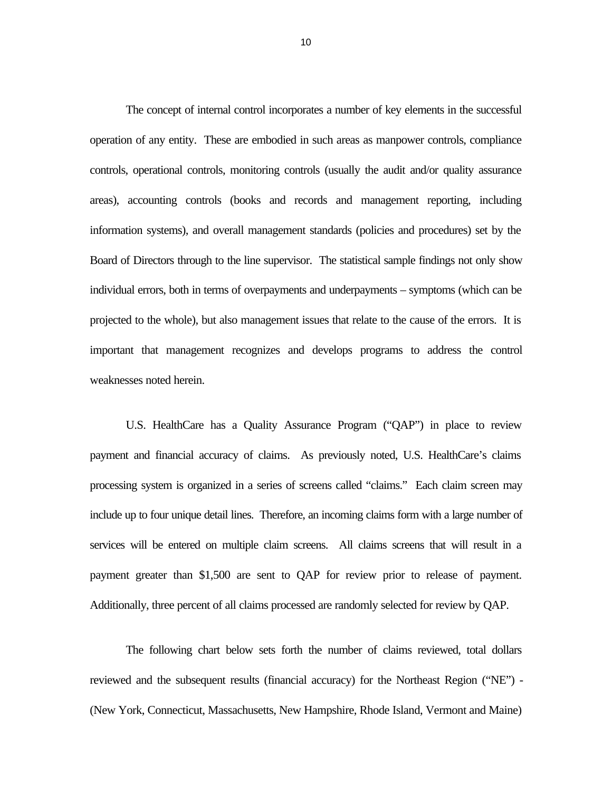The concept of internal control incorporates a number of key elements in the successful operation of any entity. These are embodied in such areas as manpower controls, compliance controls, operational controls, monitoring controls (usually the audit and/or quality assurance areas), accounting controls (books and records and management reporting, including information systems), and overall management standards (policies and procedures) set by the Board of Directors through to the line supervisor. The statistical sample findings not only show individual errors, both in terms of overpayments and underpayments – symptoms (which can be projected to the whole), but also management issues that relate to the cause of the errors. It is important that management recognizes and develops programs to address the control weaknesses noted herein.

U.S. HealthCare has a Quality Assurance Program ("QAP") in place to review payment and financial accuracy of claims. As previously noted, U.S. HealthCare's claims processing system is organized in a series of screens called "claims." Each claim screen may include up to four unique detail lines. Therefore, an incoming claims form with a large number of services will be entered on multiple claim screens. All claims screens that will result in a payment greater than \$1,500 are sent to QAP for review prior to release of payment. Additionally, three percent of all claims processed are randomly selected for review by QAP.

The following chart below sets forth the number of claims reviewed, total dollars reviewed and the subsequent results (financial accuracy) for the Northeast Region ("NE") - (New York, Connecticut, Massachusetts, New Hampshire, Rhode Island, Vermont and Maine)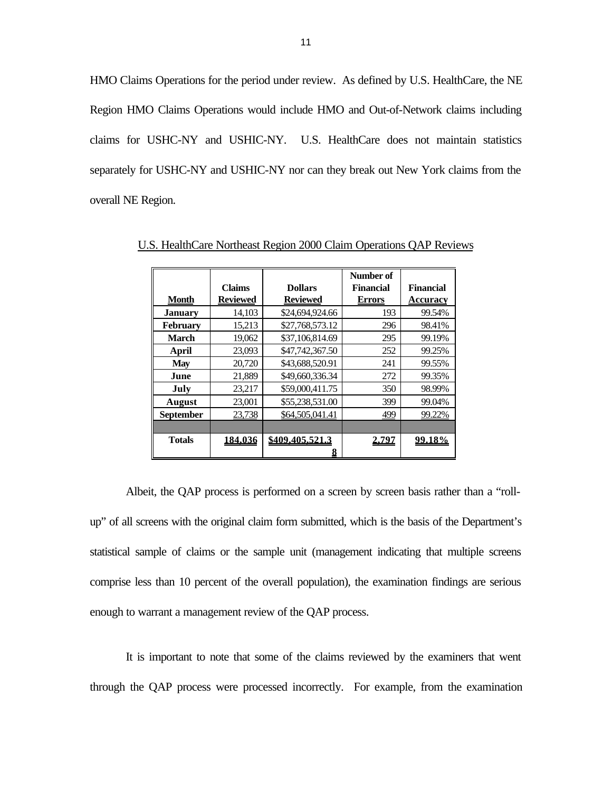HMO Claims Operations for the period under review. As defined by U.S. HealthCare, the NE Region HMO Claims Operations would include HMO and Out-of-Network claims including claims for USHC-NY and USHIC-NY. U.S. HealthCare does not maintain statistics separately for USHC-NY and USHIC-NY nor can they break out New York claims from the overall NE Region.

|                  |                 |                 | Number of        |                 |
|------------------|-----------------|-----------------|------------------|-----------------|
|                  | <b>Claims</b>   | <b>Dollars</b>  | <b>Financial</b> | Financial       |
| <b>Month</b>     | <b>Reviewed</b> | <b>Reviewed</b> | <b>Errors</b>    | <b>Accuracy</b> |
| <b>January</b>   | 14,103          | \$24,694,924.66 | 193              | 99.54%          |
| <b>February</b>  | 15,213          | \$27,768,573.12 | 296              | 98.41%          |
| <b>March</b>     | 19,062          | \$37,106,814.69 | 295              | 99.19%          |
| April            | 23,093          | \$47,742,367.50 | 252              | 99.25%          |
| <b>May</b>       | 20,720          | \$43,688,520.91 | 241              | 99.55%          |
| June             | 21,889          | \$49,660,336.34 | 272              | 99.35%          |
| July             | 23,217          | \$59,000,411.75 | 350              | 98.99%          |
| <b>August</b>    | 23,001          | \$55,238,531.00 | 399              | 99.04%          |
| <b>September</b> | 23,738          | \$64,505,041.41 | 499              | 99.22%          |
|                  |                 |                 |                  |                 |
| <b>Totals</b>    | 184.036         | \$409.405.521.3 | 2,797            | <u>99.18%</u>   |
|                  |                 |                 |                  |                 |

U.S. HealthCare Northeast Region 2000 Claim Operations QAP Reviews

Albeit, the QAP process is performed on a screen by screen basis rather than a "rollup" of all screens with the original claim form submitted, which is the basis of the Department's statistical sample of claims or the sample unit (management indicating that multiple screens comprise less than 10 percent of the overall population), the examination findings are serious enough to warrant a management review of the QAP process.

It is important to note that some of the claims reviewed by the examiners that went through the QAP process were processed incorrectly. For example, from the examination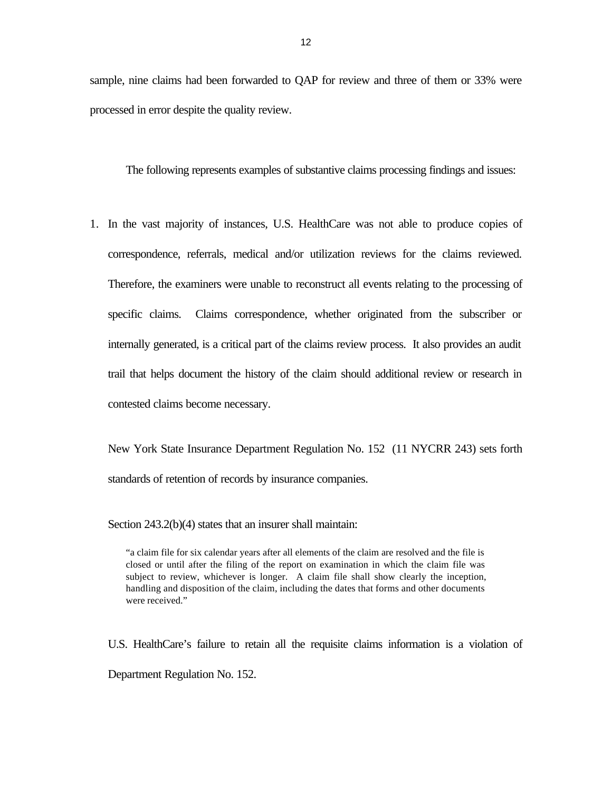sample, nine claims had been forwarded to QAP for review and three of them or 33% were processed in error despite the quality review.

The following represents examples of substantive claims processing findings and issues:

1. In the vast majority of instances, U.S. HealthCare was not able to produce copies of correspondence, referrals, medical and/or utilization reviews for the claims reviewed. Therefore, the examiners were unable to reconstruct all events relating to the processing of specific claims. Claims correspondence, whether originated from the subscriber or internally generated, is a critical part of the claims review process. It also provides an audit trail that helps document the history of the claim should additional review or research in contested claims become necessary.

New York State Insurance Department Regulation No. 152 (11 NYCRR 243) sets forth standards of retention of records by insurance companies.

Section 243.2(b)(4) states that an insurer shall maintain:

"a claim file for six calendar years after all elements of the claim are resolved and the file is closed or until after the filing of the report on examination in which the claim file was subject to review, whichever is longer. A claim file shall show clearly the inception, handling and disposition of the claim, including the dates that forms and other documents were received."

U.S. HealthCare's failure to retain all the requisite claims information is a violation of Department Regulation No. 152.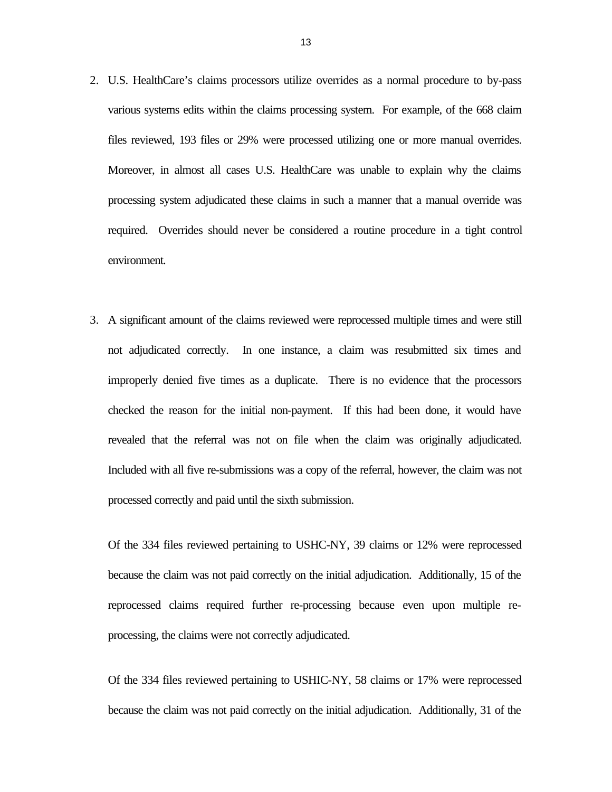- 2. U.S. HealthCare's claims processors utilize overrides as a normal procedure to by-pass various systems edits within the claims processing system. For example, of the 668 claim files reviewed, 193 files or 29% were processed utilizing one or more manual overrides. Moreover, in almost all cases U.S. HealthCare was unable to explain why the claims processing system adjudicated these claims in such a manner that a manual override was required. Overrides should never be considered a routine procedure in a tight control environment.
- 3. A significant amount of the claims reviewed were reprocessed multiple times and were still not adjudicated correctly. In one instance, a claim was resubmitted six times and improperly denied five times as a duplicate. There is no evidence that the processors checked the reason for the initial non-payment. If this had been done, it would have revealed that the referral was not on file when the claim was originally adjudicated. Included with all five re-submissions was a copy of the referral, however, the claim was not processed correctly and paid until the sixth submission.

Of the 334 files reviewed pertaining to USHC-NY, 39 claims or 12% were reprocessed because the claim was not paid correctly on the initial adjudication. Additionally, 15 of the reprocessed claims required further re-processing because even upon multiple reprocessing, the claims were not correctly adjudicated.

Of the 334 files reviewed pertaining to USHIC-NY, 58 claims or 17% were reprocessed because the claim was not paid correctly on the initial adjudication. Additionally, 31 of the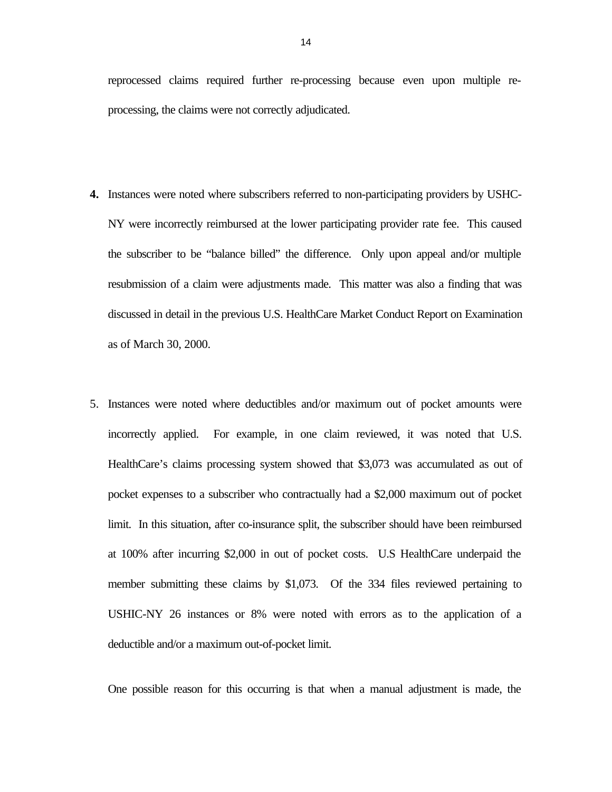reprocessed claims required further re-processing because even upon multiple reprocessing, the claims were not correctly adjudicated.

- **4.** Instances were noted where subscribers referred to non-participating providers by USHC-NY were incorrectly reimbursed at the lower participating provider rate fee. This caused the subscriber to be "balance billed" the difference. Only upon appeal and/or multiple resubmission of a claim were adjustments made. This matter was also a finding that was discussed in detail in the previous U.S. HealthCare Market Conduct Report on Examination as of March 30, 2000.
- 5. Instances were noted where deductibles and/or maximum out of pocket amounts were incorrectly applied. For example, in one claim reviewed, it was noted that U.S. HealthCare's claims processing system showed that \$3,073 was accumulated as out of pocket expenses to a subscriber who contractually had a \$2,000 maximum out of pocket limit. In this situation, after co-insurance split, the subscriber should have been reimbursed at 100% after incurring \$2,000 in out of pocket costs. U.S HealthCare underpaid the member submitting these claims by \$1,073. Of the 334 files reviewed pertaining to USHIC-NY 26 instances or 8% were noted with errors as to the application of a deductible and/or a maximum out-of-pocket limit.

One possible reason for this occurring is that when a manual adjustment is made, the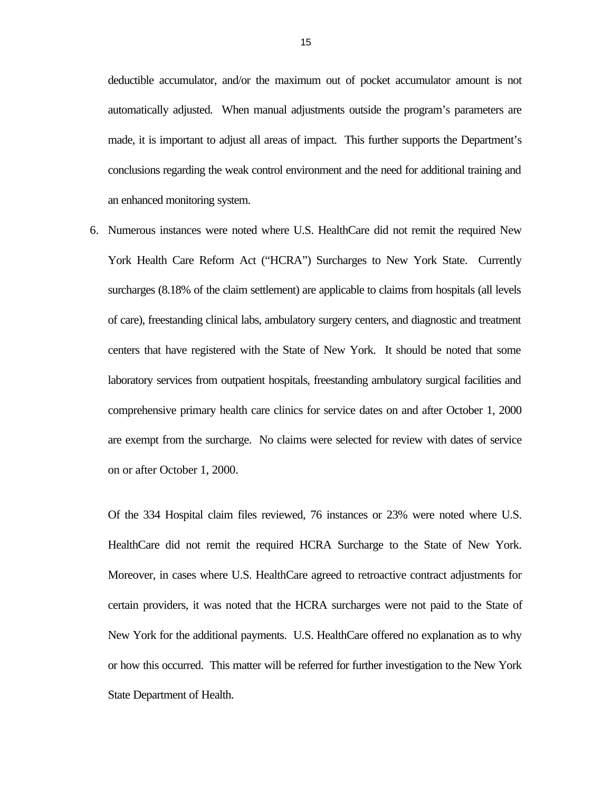deductible accumulator, and/or the maximum out of pocket accumulator amount is not automatically adjusted. When manual adjustments outside the program's parameters are made, it is important to adjust all areas of impact. This further supports the Department's conclusions regarding the weak control environment and the need for additional training and an enhanced monitoring system.

6. Numerous instances were noted where U.S. HealthCare did not remit the required New York Health Care Reform Act ("HCRA") Surcharges to New York State. Currently surcharges  $(8.18\% \text{ of the claim settlement})$  are applicable to claims from hospitals (all levels of care), freestanding clinical labs, ambulatory surgery centers, and diagnostic and treatment centers that have registered with the State of New York. It should be noted that some laboratory services from outpatient hospitals, freestanding ambulatory surgical facilities and comprehensive primary health care clinics for service dates on and after October 1, 2000 are exempt from the surcharge. No claims were selected for review with dates of service on or after October 1, 2000.

Of the 334 Hospital claim files reviewed, 76 instances or 23% were noted where U.S. HealthCare did not remit the required HCRA Surcharge to the State of New York. Moreover, in cases where U.S. HealthCare agreed to retroactive contract adjustments for certain providers, it was noted that the HCRA surcharges were not paid to the State of New York for the additional payments. U.S. HealthCare offered no explanation as to why or how this occurred. This matter will be referred for further investigation to the New York State Department of Health.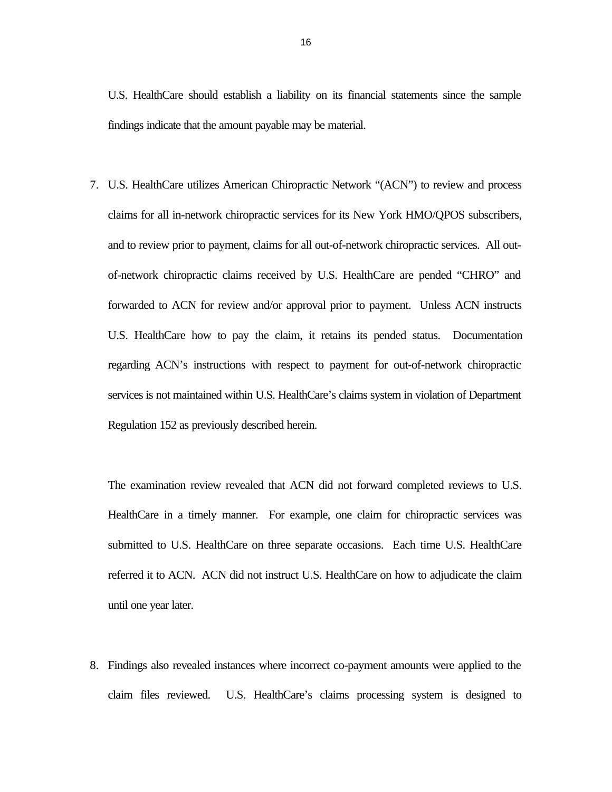U.S. HealthCare should establish a liability on its financial statements since the sample findings indicate that the amount payable may be material.

7. U.S. HealthCare utilizes American Chiropractic Network "(ACN") to review and process claims for all in-network chiropractic services for its New York HMO/QPOS subscribers, and to review prior to payment, claims for all out-of-network chiropractic services. All outof-network chiropractic claims received by U.S. HealthCare are pended "CHRO" and forwarded to ACN for review and/or approval prior to payment. Unless ACN instructs U.S. HealthCare how to pay the claim, it retains its pended status. Documentation regarding ACN's instructions with respect to payment for out-of-network chiropractic services is not maintained within U.S. HealthCare's claims system in violation of Department Regulation 152 as previously described herein.

The examination review revealed that ACN did not forward completed reviews to U.S. HealthCare in a timely manner. For example, one claim for chiropractic services was submitted to U.S. HealthCare on three separate occasions. Each time U.S. HealthCare referred it to ACN. ACN did not instruct U.S. HealthCare on how to adjudicate the claim until one year later.

8. Findings also revealed instances where incorrect co-payment amounts were applied to the claim files reviewed. U.S. HealthCare's claims processing system is designed to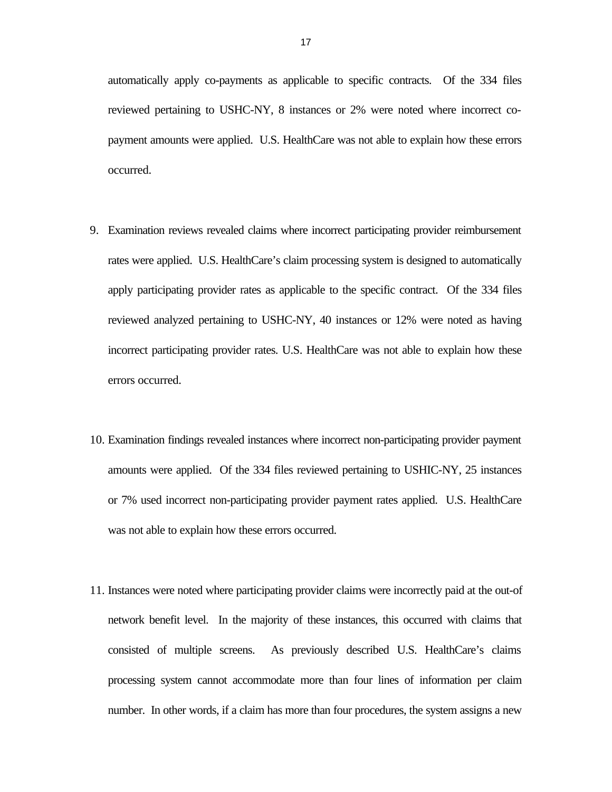automatically apply co-payments as applicable to specific contracts. Of the 334 files reviewed pertaining to USHC-NY, 8 instances or 2% were noted where incorrect copayment amounts were applied. U.S. HealthCare was not able to explain how these errors occurred.

- 9. Examination reviews revealed claims where incorrect participating provider reimbursement rates were applied. U.S. HealthCare's claim processing system is designed to automatically apply participating provider rates as applicable to the specific contract. Of the 334 files reviewed analyzed pertaining to USHC-NY, 40 instances or 12% were noted as having incorrect participating provider rates. U.S. HealthCare was not able to explain how these errors occurred.
- 10. Examination findings revealed instances where incorrect non-participating provider payment amounts were applied. Of the 334 files reviewed pertaining to USHIC-NY, 25 instances or 7% used incorrect non-participating provider payment rates applied. U.S. HealthCare was not able to explain how these errors occurred.
- 11. Instances were noted where participating provider claims were incorrectly paid at the out-of network benefit level. In the majority of these instances, this occurred with claims that consisted of multiple screens. As previously described U.S. HealthCare's claims processing system cannot accommodate more than four lines of information per claim number. In other words, if a claim has more than four procedures, the system assigns a new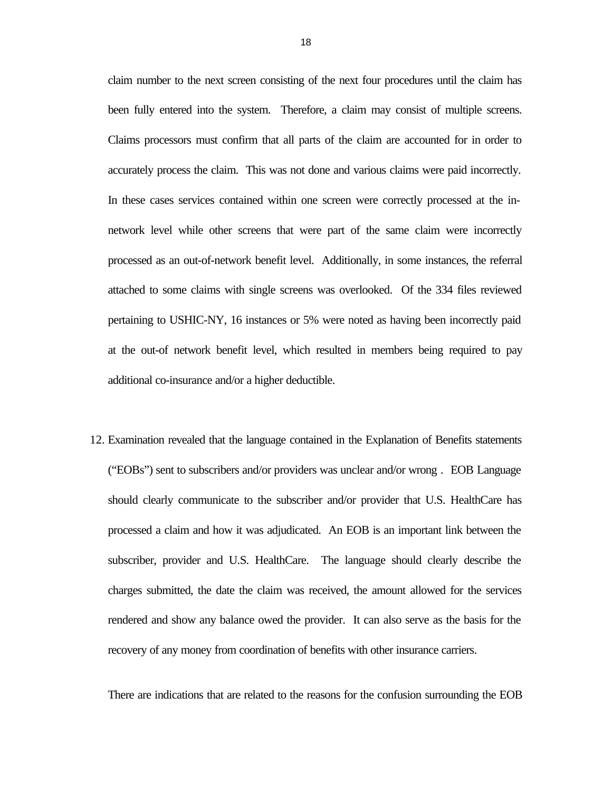claim number to the next screen consisting of the next four procedures until the claim has been fully entered into the system. Therefore, a claim may consist of multiple screens. Claims processors must confirm that all parts of the claim are accounted for in order to accurately process the claim. This was not done and various claims were paid incorrectly. In these cases services contained within one screen were correctly processed at the innetwork level while other screens that were part of the same claim were incorrectly processed as an out-of-network benefit level. Additionally, in some instances, the referral attached to some claims with single screens was overlooked. Of the 334 files reviewed pertaining to USHIC-NY, 16 instances or 5% were noted as having been incorrectly paid at the out-of network benefit level, which resulted in members being required to pay additional co-insurance and/or a higher deductible.

12. Examination revealed that the language contained in the Explanation of Benefits statements ("EOBs") sent to subscribers and/or providers was unclear and/or wrong . EOB Language should clearly communicate to the subscriber and/or provider that U.S. HealthCare has processed a claim and how it was adjudicated. An EOB is an important link between the subscriber, provider and U.S. HealthCare. The language should clearly describe the charges submitted, the date the claim was received, the amount allowed for the services rendered and show any balance owed the provider. It can also serve as the basis for the recovery of any money from coordination of benefits with other insurance carriers.

There are indications that are related to the reasons for the confusion surrounding the EOB

18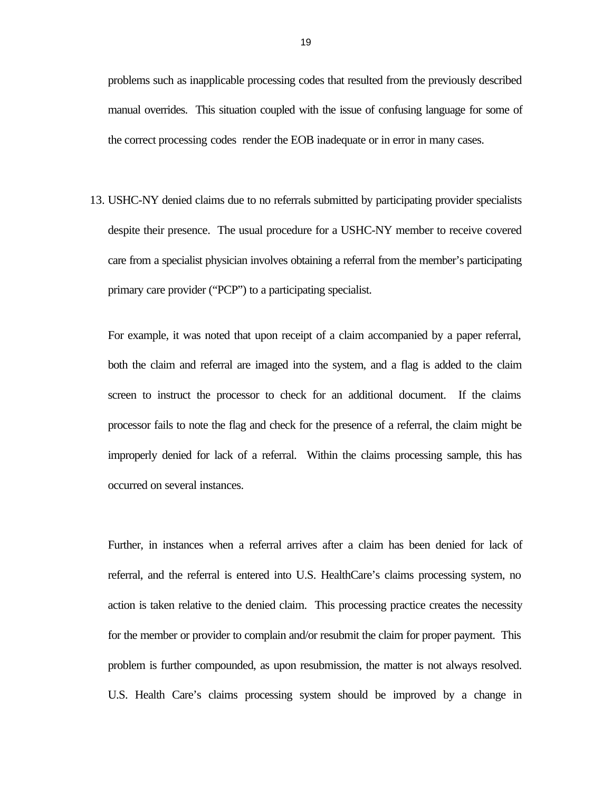problems such as inapplicable processing codes that resulted from the previously described manual overrides. This situation coupled with the issue of confusing language for some of the correct processing codes render the EOB inadequate or in error in many cases.

13. USHC-NY denied claims due to no referrals submitted by participating provider specialists despite their presence. The usual procedure for a USHC-NY member to receive covered care from a specialist physician involves obtaining a referral from the member's participating primary care provider ("PCP") to a participating specialist.

For example, it was noted that upon receipt of a claim accompanied by a paper referral, both the claim and referral are imaged into the system, and a flag is added to the claim screen to instruct the processor to check for an additional document. If the claims processor fails to note the flag and check for the presence of a referral, the claim might be improperly denied for lack of a referral. Within the claims processing sample, this has occurred on several instances.

Further, in instances when a referral arrives after a claim has been denied for lack of referral, and the referral is entered into U.S. HealthCare's claims processing system, no action is taken relative to the denied claim. This processing practice creates the necessity for the member or provider to complain and/or resubmit the claim for proper payment. This problem is further compounded, as upon resubmission, the matter is not always resolved. U.S. Health Care's claims processing system should be improved by a change in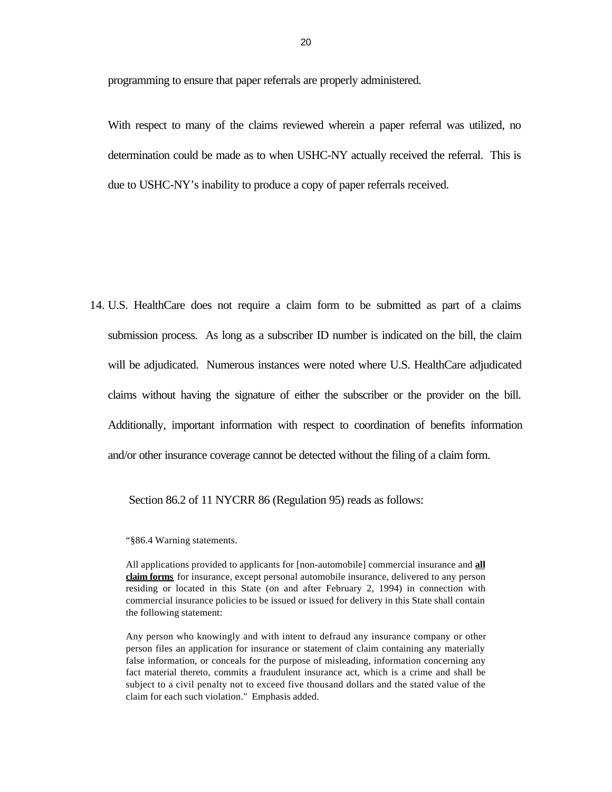programming to ensure that paper referrals are properly administered.

With respect to many of the claims reviewed wherein a paper referral was utilized, no determination could be made as to when USHC-NY actually received the referral. This is due to USHC-NY's inability to produce a copy of paper referrals received.

14. U.S. HealthCare does not require a claim form to be submitted as part of a claims submission process. As long as a subscriber ID number is indicated on the bill, the claim will be adjudicated. Numerous instances were noted where U.S. HealthCare adjudicated claims without having the signature of either the subscriber or the provider on the bill. Additionally, important information with respect to coordination of benefits information and/or other insurance coverage cannot be detected without the filing of a claim form.

Section 86.2 of 11 NYCRR 86 (Regulation 95) reads as follows:

"§86.4 Warning statements.

All applications provided to applicants for [non-automobile] commercial insurance and **all claim forms** for insurance, except personal automobile insurance, delivered to any person residing or located in this State (on and after February 2, 1994) in connection with commercial insurance policies to be issued or issued for delivery in this State shall contain the following statement:

Any person who knowingly and with intent to defraud any insurance company or other person files an application for insurance or statement of claim containing any materially false information, or conceals for the purpose of misleading, information concerning any fact material thereto, commits a fraudulent insurance act, which is a crime and shall be subject to a civil penalty not to exceed five thousand dollars and the stated value of the claim for each such violation." Emphasis added.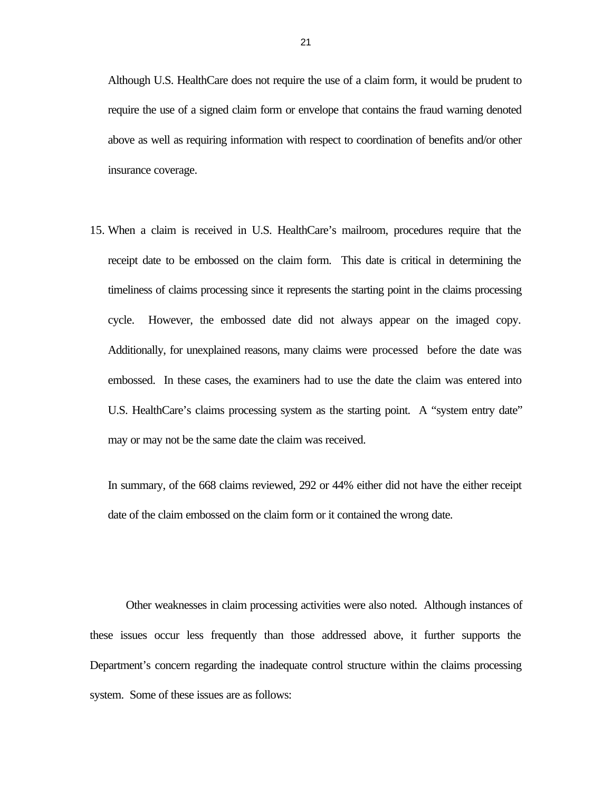Although U.S. HealthCare does not require the use of a claim form, it would be prudent to require the use of a signed claim form or envelope that contains the fraud warning denoted above as well as requiring information with respect to coordination of benefits and/or other insurance coverage.

15. When a claim is received in U.S. HealthCare's mailroom, procedures require that the receipt date to be embossed on the claim form. This date is critical in determining the timeliness of claims processing since it represents the starting point in the claims processing cycle. However, the embossed date did not always appear on the imaged copy. Additionally, for unexplained reasons, many claims were processed before the date was embossed. In these cases, the examiners had to use the date the claim was entered into U.S. HealthCare's claims processing system as the starting point. A "system entry date" may or may not be the same date the claim was received.

In summary, of the 668 claims reviewed, 292 or 44% either did not have the either receipt date of the claim embossed on the claim form or it contained the wrong date.

Other weaknesses in claim processing activities were also noted. Although instances of these issues occur less frequently than those addressed above, it further supports the Department's concern regarding the inadequate control structure within the claims processing system. Some of these issues are as follows: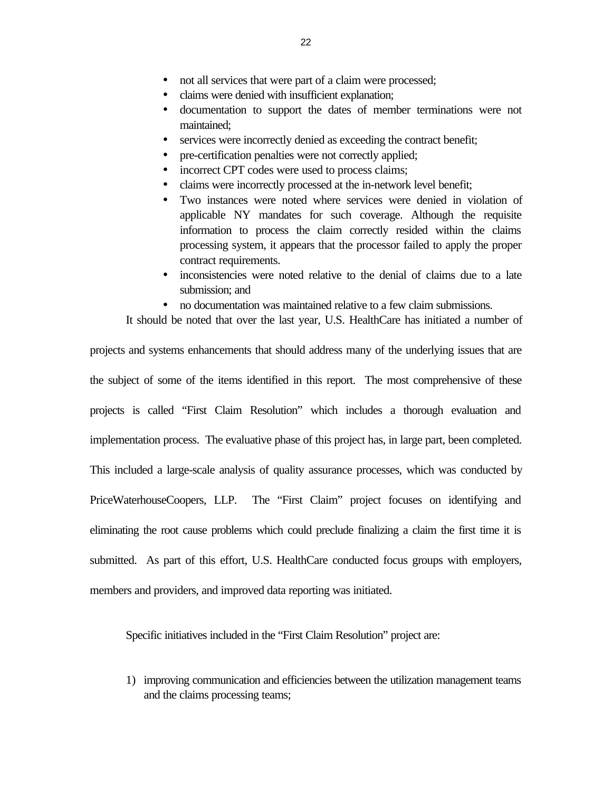- <span id="page-24-0"></span>• not all services that were part of a claim were processed;
- claims were denied with insufficient explanation;
- · documentation to support the dates of member terminations were not maintained;
- services were incorrectly denied as exceeding the contract benefit;
- pre-certification penalties were not correctly applied;
- incorrect CPT codes were used to process claims;
- claims were incorrectly processed at the in-network level benefit;
- · Two instances were noted where services were denied in violation of applicable NY mandates for such coverage. Although the requisite information to process the claim correctly resided within the claims processing system, it appears that the processor failed to apply the proper contract requirements.
- inconsistencies were noted relative to the denial of claims due to a late submission; and
- no documentation was maintained relative to a few claim submissions.

It should be noted that over the last year, U.S. HealthCare has initiated a number of

projects and systems enhancements that should address many of the underlying issues that are the subject of some of the items identified in this report. The most comprehensive of these projects is called "First Claim Resolution" which includes a thorough evaluation and implementation process. The evaluative phase of this project has, in large part, been completed. This included a large-scale analysis of quality assurance processes, which was conducted by PriceWaterhouseCoopers, LLP. The "First Claim" project focuses on identifying and eliminating the root cause problems which could preclude finalizing a claim the first time it is submitted. As part of this effort, U.S. HealthCare conducted focus groups with employers, members and providers, and improved data reporting was initiated.

Specific initiatives included in the "First Claim Resolution" project are:

1) improving communication and efficiencies between the utilization management teams and the claims processing teams;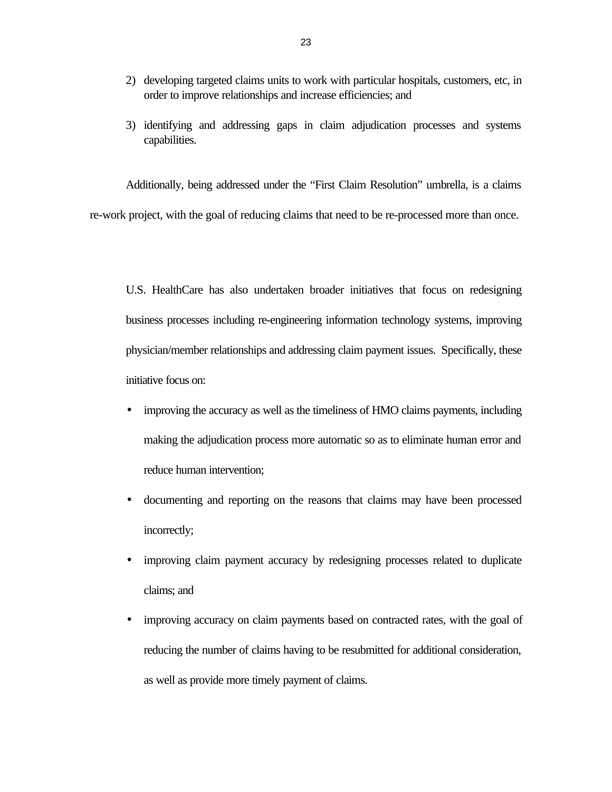- 2) developing targeted claims units to work with particular hospitals, customers, etc, in order to improve relationships and increase efficiencies; and
- 3) identifying and addressing gaps in claim adjudication processes and systems capabilities.

Additionally, being addressed under the "First Claim Resolution" umbrella, is a claims re-work project, with the goal of reducing claims that need to be re-processed more than once.

U.S. HealthCare has also undertaken broader initiatives that focus on redesigning business processes including re-engineering information technology systems, improving physician/member relationships and addressing claim payment issues. Specifically, these initiative focus on:

- improving the accuracy as well as the timeliness of HMO claims payments, including making the adjudication process more automatic so as to eliminate human error and reduce human intervention;
- · documenting and reporting on the reasons that claims may have been processed incorrectly;
- · improving claim payment accuracy by redesigning processes related to duplicate claims; and
- improving accuracy on claim payments based on contracted rates, with the goal of reducing the number of claims having to be resubmitted for additional consideration, as well as provide more timely payment of claims.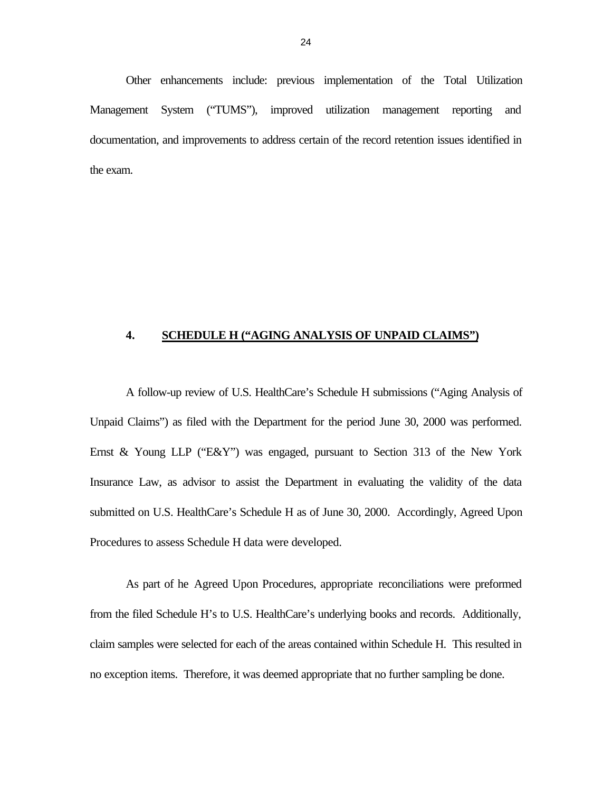Other enhancements include: previous implementation of the Total Utilization Management System ("TUMS"), improved utilization management reporting and documentation, and improvements to address certain of the record retention issues identified in the exam.

#### **4. SCHEDULE H ("AGING ANALYSIS OF UNPAID CLAIMS")**

A follow-up review of U.S. HealthCare's Schedule H submissions ("Aging Analysis of Unpaid Claims") as filed with the Department for the period June 30, 2000 was performed. Ernst & Young LLP ("E&Y") was engaged, pursuant to Section 313 of the New York Insurance Law, as advisor to assist the Department in evaluating the validity of the data submitted on U.S. HealthCare's Schedule H as of June 30, 2000. Accordingly, Agreed Upon Procedures to assess Schedule H data were developed.

As part of he Agreed Upon Procedures, appropriate reconciliations were preformed from the filed Schedule H's to U.S. HealthCare's underlying books and records. Additionally, claim samples were selected for each of the areas contained within Schedule H. This resulted in no exception items. Therefore, it was deemed appropriate that no further sampling be done.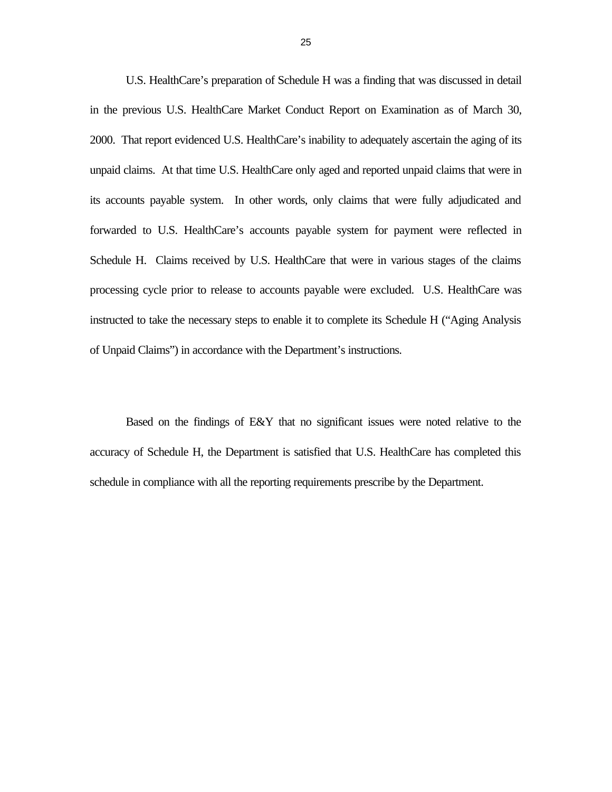U.S. HealthCare's preparation of Schedule H was a finding that was discussed in detail in the previous U.S. HealthCare Market Conduct Report on Examination as of March 30, 2000. That report evidenced U.S. HealthCare's inability to adequately ascertain the aging of its unpaid claims. At that time U.S. HealthCare only aged and reported unpaid claims that were in its accounts payable system. In other words, only claims that were fully adjudicated and forwarded to U.S. HealthCare's accounts payable system for payment were reflected in Schedule H. Claims received by U.S. HealthCare that were in various stages of the claims processing cycle prior to release to accounts payable were excluded. U.S. HealthCare was instructed to take the necessary steps to enable it to complete its Schedule H ("Aging Analysis of Unpaid Claims") in accordance with the Department's instructions.

Based on the findings of E&Y that no significant issues were noted relative to the accuracy of Schedule H, the Department is satisfied that U.S. HealthCare has completed this schedule in compliance with all the reporting requirements prescribe by the Department.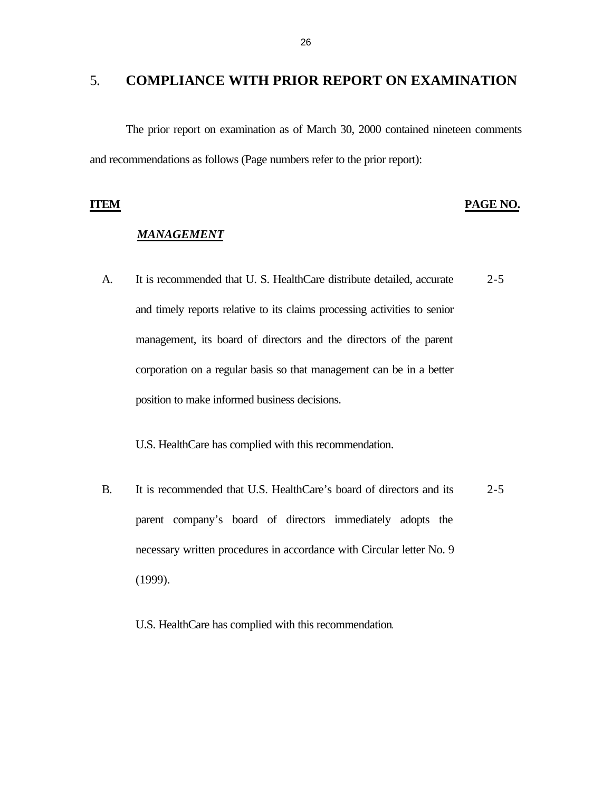### <span id="page-28-0"></span>5. **COMPLIANCE WITH PRIOR REPORT ON EXAMINATION**

The prior report on examination as of March 30, 2000 contained nineteen comments and recommendations as follows (Page numbers refer to the prior report):

#### **ITEM PAGE NO.**

#### *MANAGEMENT*

A. It is recommended that U. S. HealthCare distribute detailed, accurate 2-5 and timely reports relative to its claims processing activities to senior management, its board of directors and the directors of the parent corporation on a regular basis so that management can be in a better position to make informed business decisions.

U.S. HealthCare has complied with this recommendation.

- B. It is recommended that U.S. HealthCare's board of directors and its 2-5 parent company's board of directors immediately adopts the necessary written procedures in accordance with Circular letter No. 9 (1999).
	- U.S. HealthCare has complied with this recommendation.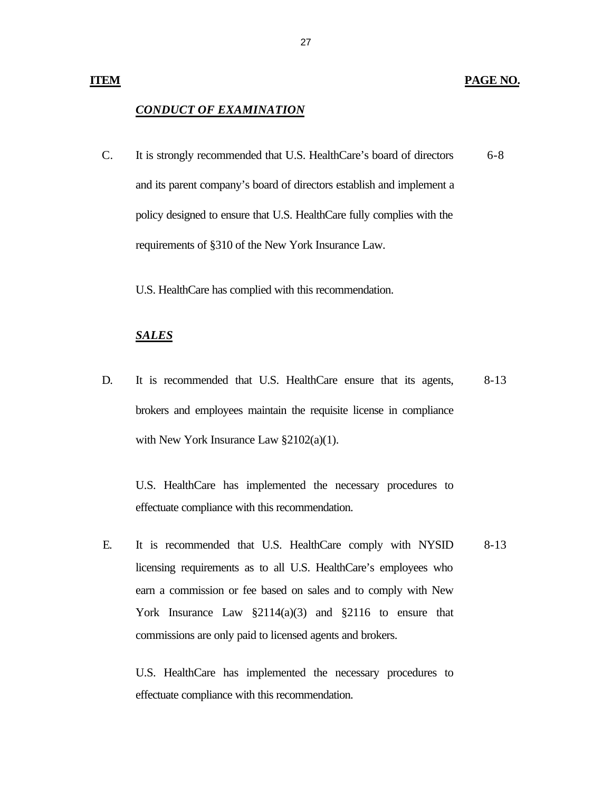#### **PAGE NO.**

#### *CONDUCT OF EXAMINATION*

C. It is strongly recommended that U.S. HealthCare's board of directors and its parent company's board of directors establish and implement a policy designed to ensure that U.S. HealthCare fully complies with the requirements of §310 of the New York Insurance Law. 6-8

U.S. HealthCare has complied with this recommendation.

#### *SALES*

D. It is recommended that U.S. HealthCare ensure that its agents, brokers and employees maintain the requisite license in compliance with New York Insurance Law §2102(a)(1). 8-13

U.S. HealthCare has implemented the necessary procedures to effectuate compliance with this recommendation.

E. It is recommended that U.S. HealthCare comply with NYSID licensing requirements as to all U.S. HealthCare's employees who earn a commission or fee based on sales and to comply with New York Insurance Law  $\S2114(a)(3)$  and  $\S2116$  to ensure that commissions are only paid to licensed agents and brokers. 8-13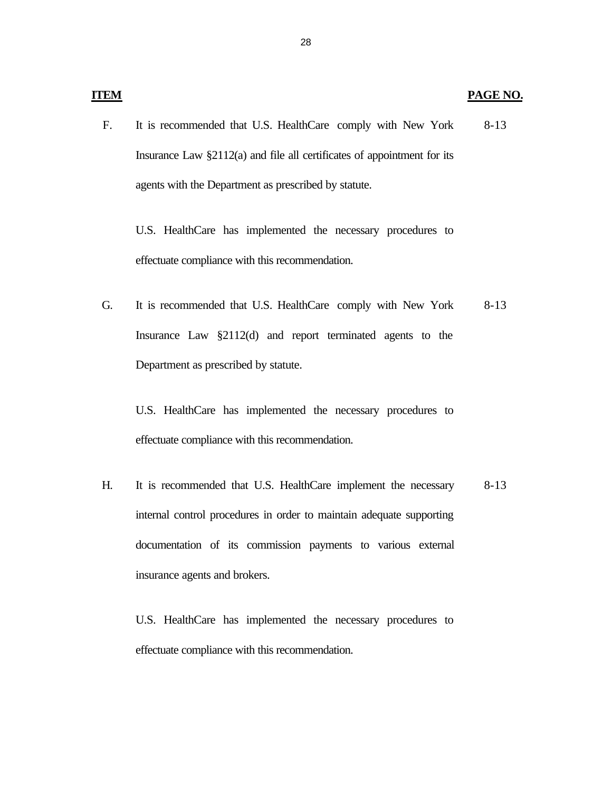#### **PAGE NO.**

F. It is recommended that U.S. HealthCare comply with New York Insurance Law §2112(a) and file all certificates of appointment for its agents with the Department as prescribed by statute. 8-13

U.S. HealthCare has implemented the necessary procedures to effectuate compliance with this recommendation.

G. It is recommended that U.S. HealthCare comply with New York Insurance Law §2112(d) and report terminated agents to the Department as prescribed by statute. 8-13

U.S. HealthCare has implemented the necessary procedures to effectuate compliance with this recommendation.

H. It is recommended that U.S. HealthCare implement the necessary internal control procedures in order to maintain adequate supporting documentation of its commission payments to various external insurance agents and brokers. 8-13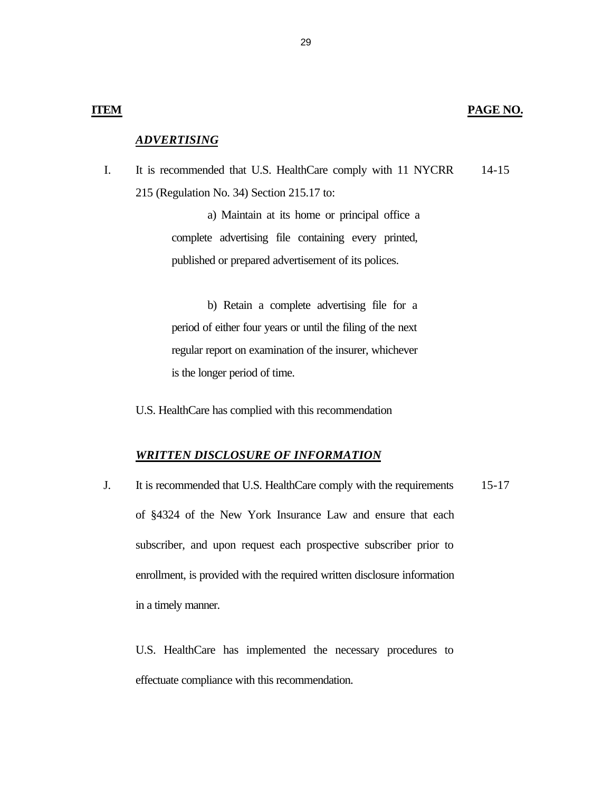#### *ADVERTISING*

I. It is recommended that U.S. HealthCare comply with 11 NYCRR 215 (Regulation No. 34) Section 215.17 to: 14-15

> a) Maintain at its home or principal office a complete advertising file containing every printed, published or prepared advertisement of its polices.

> b) Retain a complete advertising file for a period of either four years or until the filing of the next regular report on examination of the insurer, whichever is the longer period of time.

U.S. HealthCare has complied with this recommendation

#### *WRITTEN DISCLOSURE OF INFORMATION*

J. It is recommended that U.S. HealthCare comply with the requirements of §4324 of the New York Insurance Law and ensure that each subscriber, and upon request each prospective subscriber prior to enrollment, is provided with the required written disclosure information in a timely manner. 15-17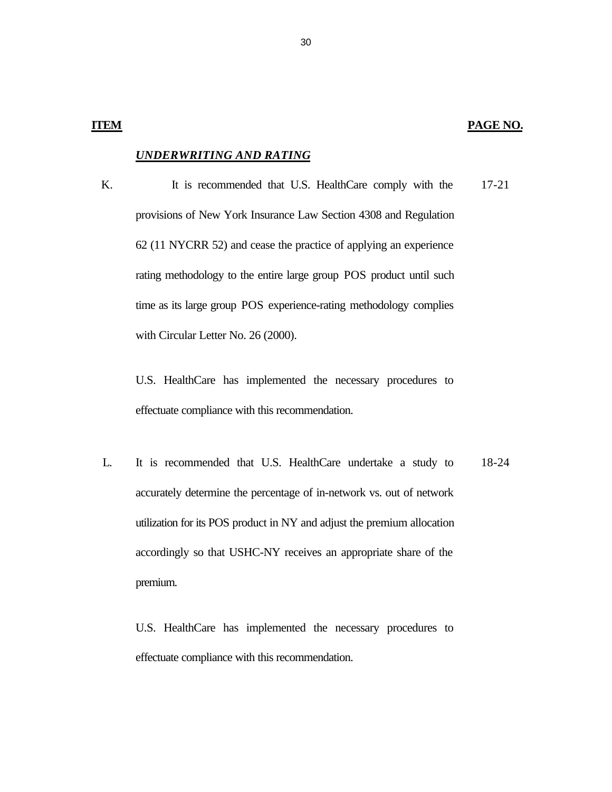#### *UNDERWRITING AND RATING*

K. It is recommended that U.S. HealthCare comply with the provisions of New York Insurance Law Section 4308 and Regulation 62 (11 NYCRR 52) and cease the practice of applying an experience rating methodology to the entire large group POS product until such time as its large group POS experience-rating methodology complies with Circular Letter No. 26 (2000). 17-21

U.S. HealthCare has implemented the necessary procedures to effectuate compliance with this recommendation.

L. It is recommended that U.S. HealthCare undertake a study to accurately determine the percentage of in-network vs. out of network utilization for its POS product in NY and adjust the premium allocation accordingly so that USHC-NY receives an appropriate share of the premium. 18-24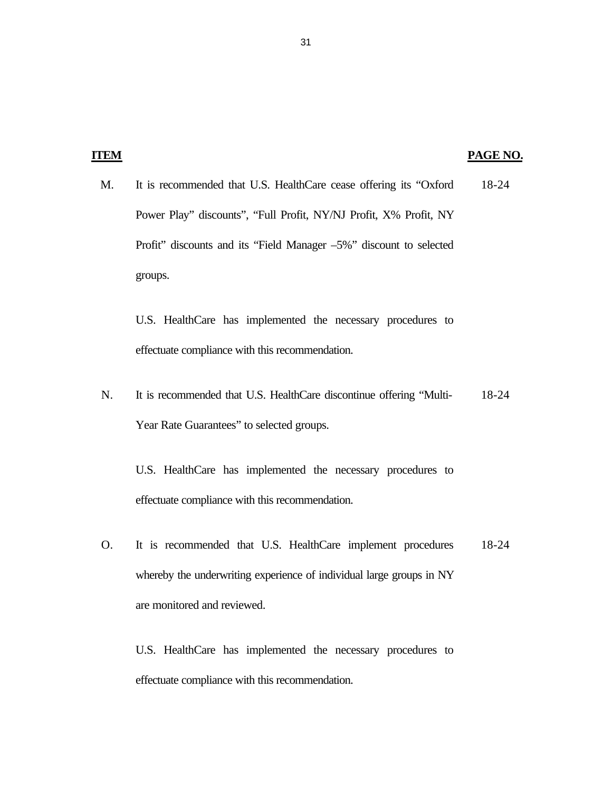| э. |
|----|
|----|

### **PAGE NO.**

M. It is recommended that U.S. HealthCare cease offering its "Oxford Power Play" discounts", "Full Profit, NY/NJ Profit, X% Profit, NY Profit" discounts and its "Field Manager –5%" discount to selected groups. 18-24

U.S. HealthCare has implemented the necessary procedures to effectuate compliance with this recommendation.

N. It is recommended that U.S. HealthCare discontinue offering "Multi-Year Rate Guarantees" to selected groups. 18-24

U.S. HealthCare has implemented the necessary procedures to effectuate compliance with this recommendation.

O. It is recommended that U.S. HealthCare implement procedures whereby the underwriting experience of individual large groups in NY are monitored and reviewed. 18-24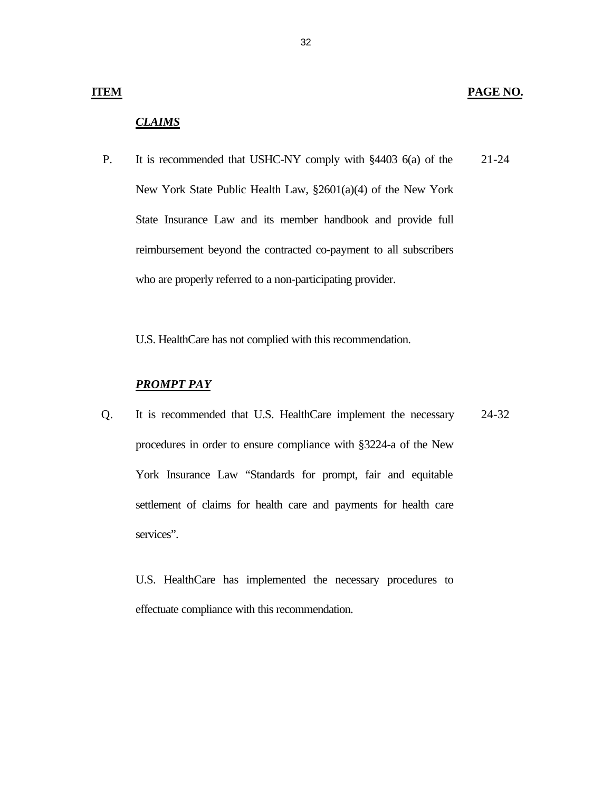32

#### **ITEM**

### *CLAIMS*

P. It is recommended that USHC-NY comply with §4403 6(a) of the New York State Public Health Law, §2601(a)(4) of the New York State Insurance Law and its member handbook and provide full reimbursement beyond the contracted co-payment to all subscribers who are properly referred to a non-participating provider. 21-24

U.S. HealthCare has not complied with this recommendation.

#### *PROMPT PAY*

Q. It is recommended that U.S. HealthCare implement the necessary procedures in order to ensure compliance with §3224-a of the New York Insurance Law "Standards for prompt, fair and equitable settlement of claims for health care and payments for health care services". 24-32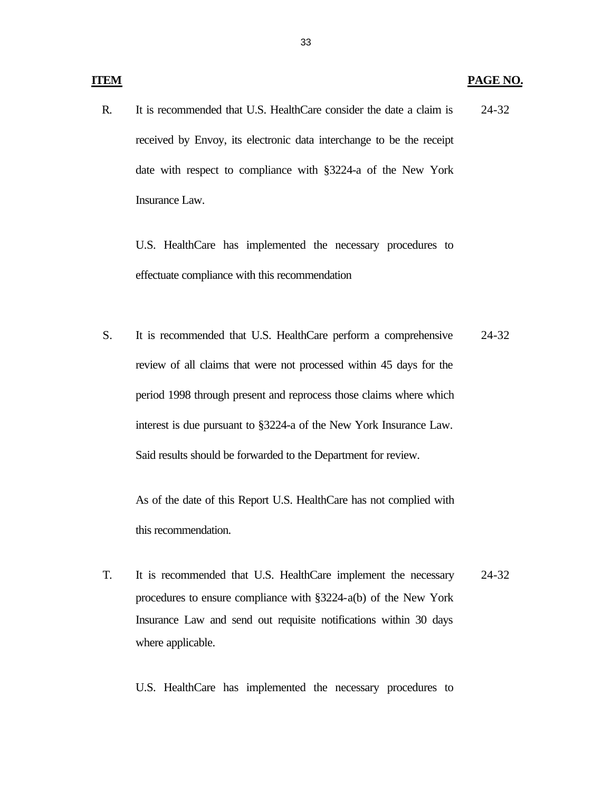#### **PAGE NO.**

R. It is recommended that U.S. HealthCare consider the date a claim is received by Envoy, its electronic data interchange to be the receipt date with respect to compliance with §3224-a of the New York Insurance Law. 24-32

U.S. HealthCare has implemented the necessary procedures to effectuate compliance with this recommendation

S. It is recommended that U.S. HealthCare perform a comprehensive review of all claims that were not processed within 45 days for the period 1998 through present and reprocess those claims where which interest is due pursuant to §3224-a of the New York Insurance Law. Said results should be forwarded to the Department for review. 24-32

As of the date of this Report U.S. HealthCare has not complied with this recommendation.

T. It is recommended that U.S. HealthCare implement the necessary procedures to ensure compliance with §3224-a(b) of the New York Insurance Law and send out requisite notifications within 30 days where applicable. 24-32

U.S. HealthCare has implemented the necessary procedures to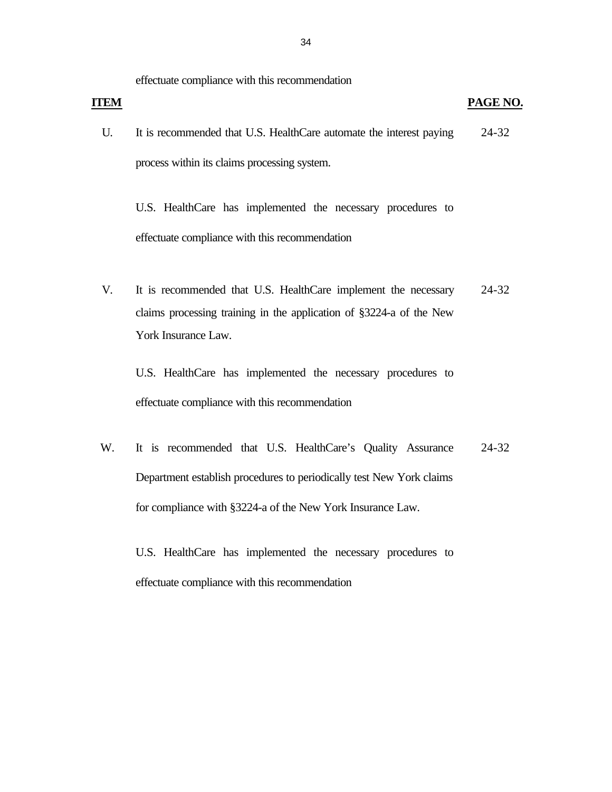effectuate compliance with this recommendation

| <b>ITEM</b> |                                                                     | PAGE NO. |
|-------------|---------------------------------------------------------------------|----------|
|             | It is recommended that U.S. HealthCare automate the interest paying | 24-32    |
|             | process within its claims processing system.                        |          |

U.S. HealthCare has implemented the necessary procedures to effectuate compliance with this recommendation

V. It is recommended that U.S. HealthCare implement the necessary claims processing training in the application of §3224-a of the New York Insurance Law. 24-32

U.S. HealthCare has implemented the necessary procedures to effectuate compliance with this recommendation

W. It is recommended that U.S. HealthCare's Quality Assurance Department establish procedures to periodically test New York claims for compliance with §3224-a of the New York Insurance Law. 24-32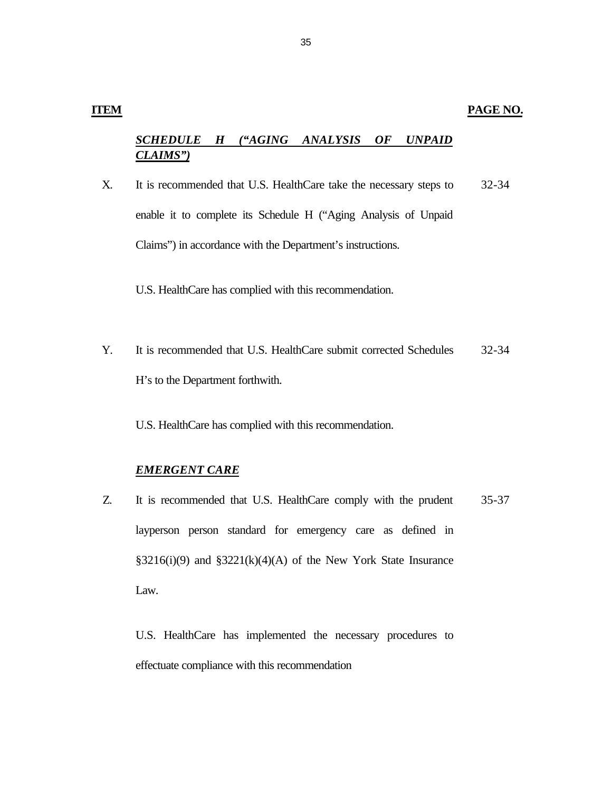# *SCHEDULE H ("AGING ANALYSIS OF UNPAID CLAIMS")*

X. It is recommended that U.S. HealthCare take the necessary steps to enable it to complete its Schedule H ("Aging Analysis of Unpaid Claims") in accordance with the Department's instructions. 32-34

U.S. HealthCare has complied with this recommendation.

Y. It is recommended that U.S. HealthCare submit corrected Schedules H's to the Department forthwith. 32-34

U.S. HealthCare has complied with this recommendation.

#### *EMERGENT CARE*

Z. It is recommended that U.S. HealthCare comply with the prudent layperson person standard for emergency care as defined in  $§3216(i)(9)$  and  $§3221(k)(4)(A)$  of the New York State Insurance Law. 35-37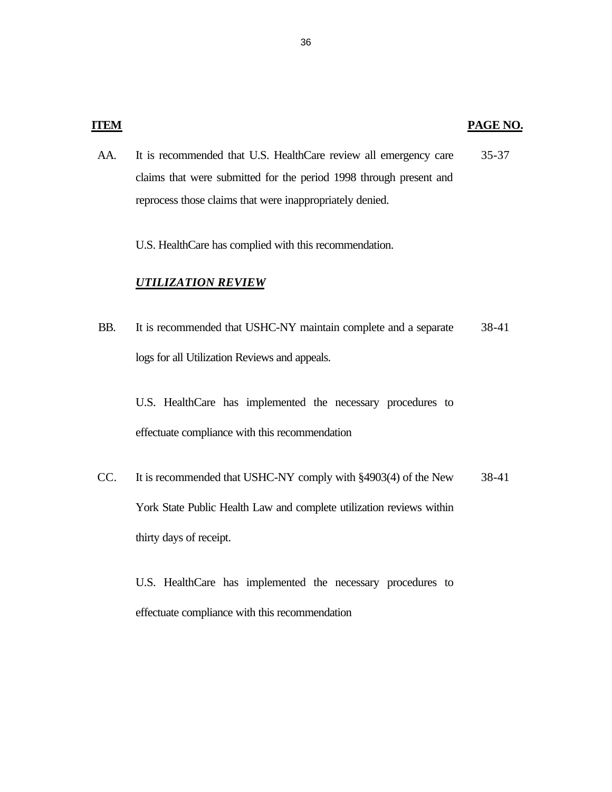AA. It is recommended that U.S. HealthCare review all emergency care claims that were submitted for the period 1998 through present and reprocess those claims that were inappropriately denied. 35-37

U.S. HealthCare has complied with this recommendation.

#### *UTILIZATION REVIEW*

BB. It is recommended that USHC-NY maintain complete and a separate logs for all Utilization Reviews and appeals. 38-41

U.S. HealthCare has implemented the necessary procedures to effectuate compliance with this recommendation

CC. It is recommended that USHC-NY comply with §4903(4) of the New York State Public Health Law and complete utilization reviews within thirty days of receipt. 38-41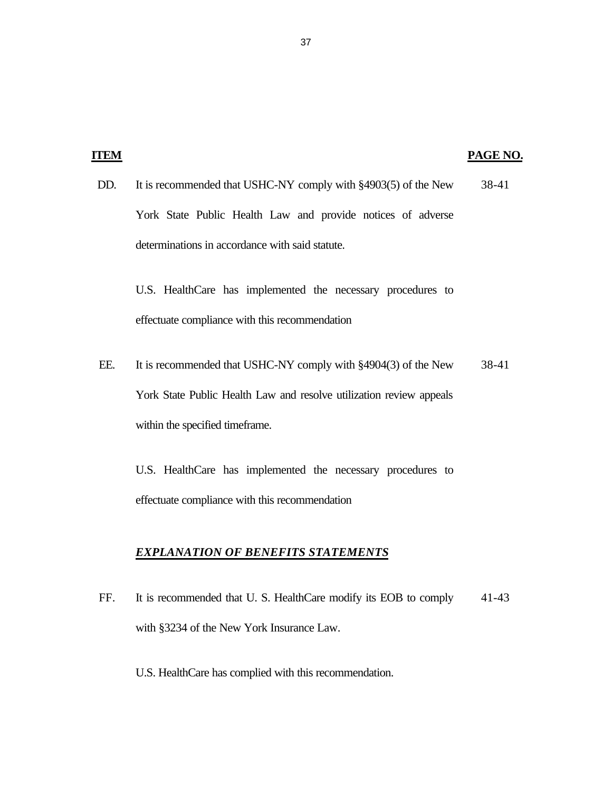|     |                                                                                                               | PAGE NO. |
|-----|---------------------------------------------------------------------------------------------------------------|----------|
| DD. | It is recommended that USHC-NY comply with §4903(5) of the New                                                | 38-41    |
|     | York State Public Health Law and provide notices of adverse                                                   |          |
|     | determinations in accordance with said statute.                                                               |          |
|     | U.S. HealthCare has implemented the necessary procedures to<br>effectuate compliance with this recommendation |          |
| EE. | It is recommended that USHC-NY comply with §4904(3) of the New                                                | 38-41    |
|     | York State Public Health Law and resolve utilization review appeals                                           |          |

within the specified timeframe.

U.S. HealthCare has implemented the necessary procedures to effectuate compliance with this recommendation

# *EXPLANATION OF BENEFITS STATEMENTS*

- FF. It is recommended that U. S. HealthCare modify its EOB to comply with §3234 of the New York Insurance Law. 41-43
	- U.S. HealthCare has complied with this recommendation.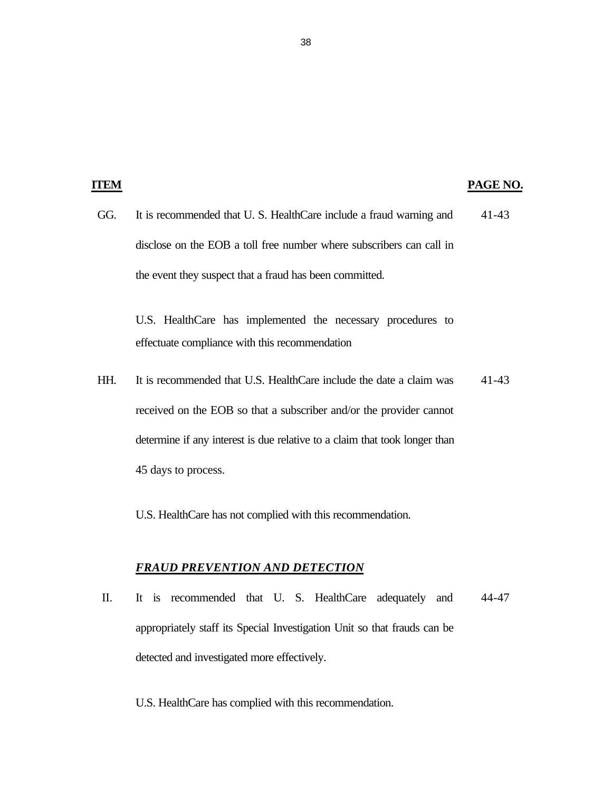#### **PAGE NO.**

GG. It is recommended that U. S. HealthCare include a fraud warning and disclose on the EOB a toll free number where subscribers can call in the event they suspect that a fraud has been committed. 41-43

U.S. HealthCare has implemented the necessary procedures to effectuate compliance with this recommendation

HH. It is recommended that U.S. HealthCare include the date a claim was received on the EOB so that a subscriber and/or the provider cannot determine if any interest is due relative to a claim that took longer than 45 days to process. 41-43

U.S. HealthCare has not complied with this recommendation.

#### *FRAUD PREVENTION AND DETECTION*

II. It is recommended that U. S. HealthCare adequately and appropriately staff its Special Investigation Unit so that frauds can be detected and investigated more effectively. 44-47

U.S. HealthCare has complied with this recommendation.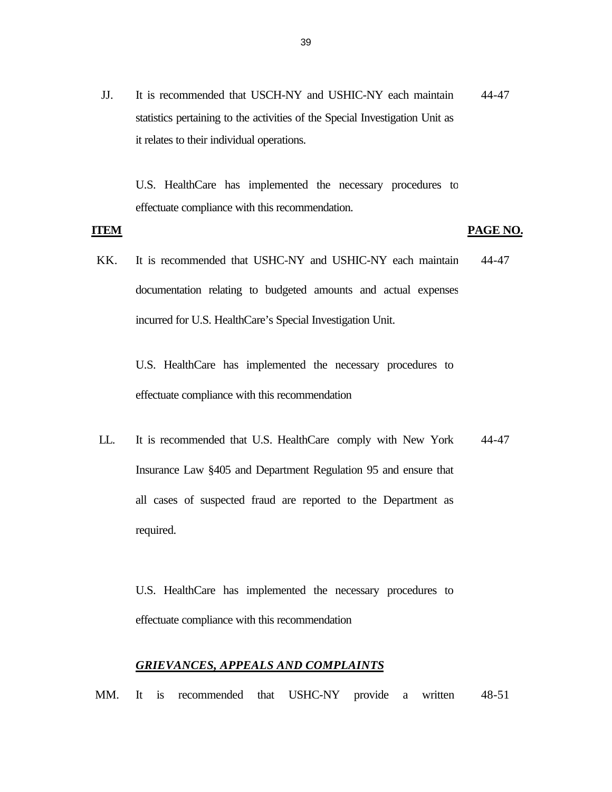JJ. It is recommended that USCH-NY and USHIC-NY each maintain statistics pertaining to the activities of the Special Investigation Unit as it relates to their individual operations. 44-47

U.S. HealthCare has implemented the necessary procedures to effectuate compliance with this recommendation.

#### **ITEM**

#### **PAGE NO.**

KK. It is recommended that USHC-NY and USHIC-NY each maintain documentation relating to budgeted amounts and actual expenses incurred for U.S. HealthCare's Special Investigation Unit. 44-47

U.S. HealthCare has implemented the necessary procedures to effectuate compliance with this recommendation

LL. It is recommended that U.S. HealthCare comply with New York Insurance Law §405 and Department Regulation 95 and ensure that all cases of suspected fraud are reported to the Department as required. 44-47

U.S. HealthCare has implemented the necessary procedures to effectuate compliance with this recommendation

#### *GRIEVANCES, APPEALS AND COMPLAINTS*

MM. It is recommended that USHC-NY provide a written 48-51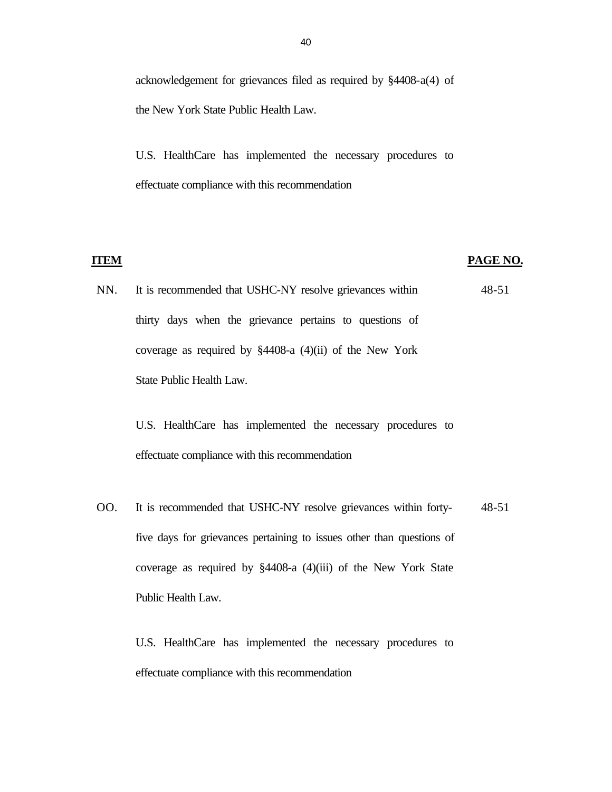acknowledgement for grievances filed as required by §4408-a(4) of the New York State Public Health Law.

U.S. HealthCare has implemented the necessary procedures to effectuate compliance with this recommendation

#### **ITEM**

#### **PAGE NO.**

NN. It is recommended that USHC-NY resolve grievances within thirty days when the grievance pertains to questions of coverage as required by §4408-a (4)(ii) of the New York State Public Health Law. 48-51

U.S. HealthCare has implemented the necessary procedures to effectuate compliance with this recommendation

OO. It is recommended that USHC-NY resolve grievances within fortyfive days for grievances pertaining to issues other than questions of coverage as required by §4408-a (4)(iii) of the New York State Public Health Law. 48-51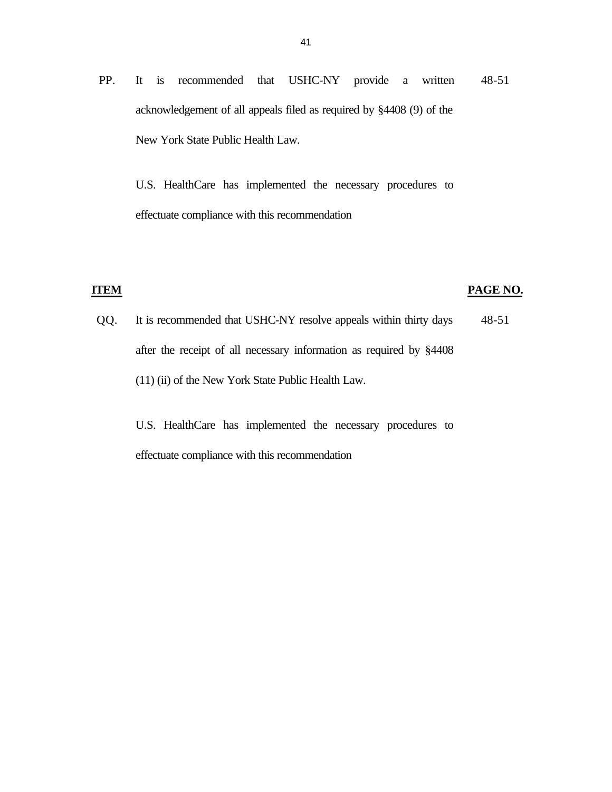PP. It is recommended that USHC-NY provide a written acknowledgement of all appeals filed as required by §4408 (9) of the New York State Public Health Law. 48-51

U.S. HealthCare has implemented the necessary procedures to effectuate compliance with this recommendation

#### **ITEM**

#### **PAGE NO.**

QQ. It is recommended that USHC-NY resolve appeals within thirty days after the receipt of all necessary information as required by §4408 (11) (ii) of the New York State Public Health Law. 48-51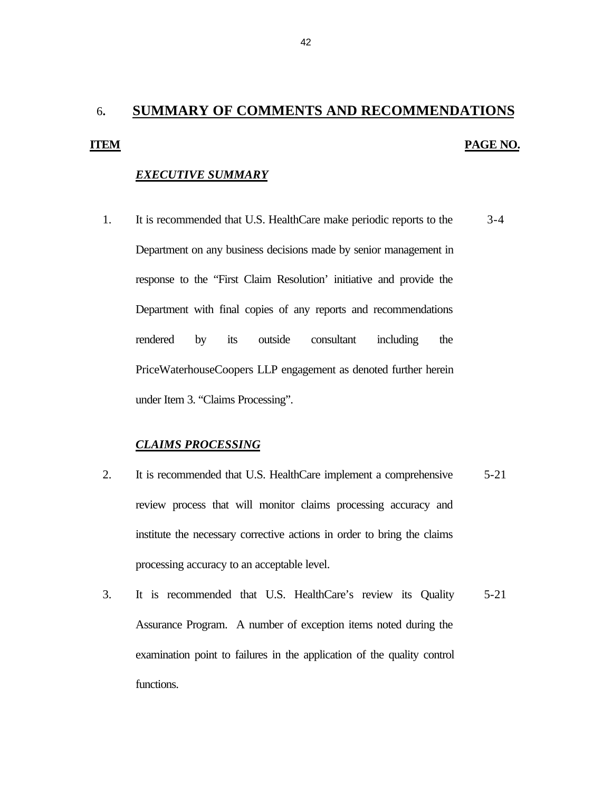# <span id="page-44-0"></span>6**. SUMMARY OF COMMENTS AND RECOMMENDATIONS ITEM PAGE NO.**

#### *EXECUTIVE SUMMARY*

1. It is recommended that U.S. HealthCare make periodic reports to the 3-4 Department on any business decisions made by senior management in response to the "First Claim Resolution' initiative and provide the Department with final copies of any reports and recommendations rendered by its outside consultant including the PriceWaterhouseCoopers LLP engagement as denoted further herein under Item 3. "Claims Processing".

### *CLAIMS PROCESSING*

- 2. It is recommended that U.S. HealthCare implement a comprehensive 5-21 review process that will monitor claims processing accuracy and institute the necessary corrective actions in order to bring the claims processing accuracy to an acceptable level.
- 3. It is recommended that U.S. HealthCare's review its Quality 5-21 Assurance Program. A number of exception items noted during the examination point to failures in the application of the quality control functions.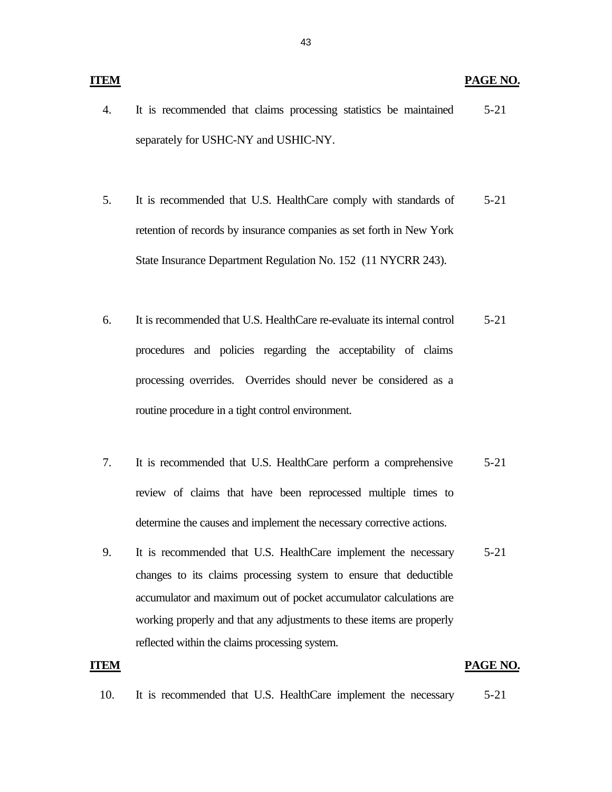#### **ITEM** PAGE NO.

- 4. It is recommended that claims processing statistics be maintained 5-21 separately for USHC-NY and USHIC-NY.
- 5. It is recommended that U.S. HealthCare comply with standards of 5-21 retention of records by insurance companies as set forth in New York State Insurance Department Regulation No. 152 (11 NYCRR 243).
- 6. It is recommended that U.S. HealthCare re-evaluate its internal control 5-21 procedures and policies regarding the acceptability of claims processing overrides. Overrides should never be considered as a routine procedure in a tight control environment.
- 7. It is recommended that U.S. HealthCare perform a comprehensive 5-21 review of claims that have been reprocessed multiple times to determine the causes and implement the necessary corrective actions.
- 9. It is recommended that U.S. HealthCare implement the necessary 5-21 changes to its claims processing system to ensure that deductible accumulator and maximum out of pocket accumulator calculations are working properly and that any adjustments to these items are properly reflected within the claims processing system.

#### **ITEM** PAGE NO.

10. It is recommended that U.S. HealthCare implement the necessary 5-21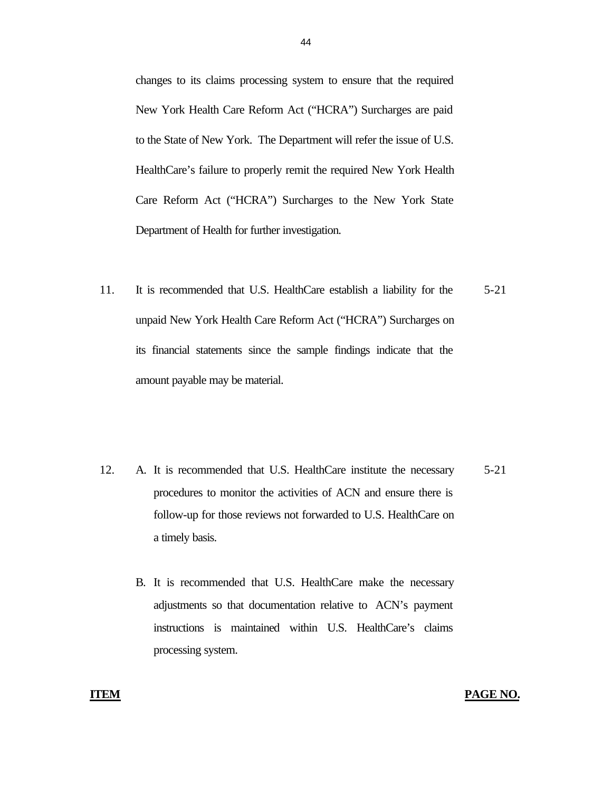changes to its claims processing system to ensure that the required New York Health Care Reform Act ("HCRA") Surcharges are paid to the State of New York. The Department will refer the issue of U.S. HealthCare's failure to properly remit the required New York Health Care Reform Act ("HCRA") Surcharges to the New York State Department of Health for further investigation.

- 11. It is recommended that U.S. HealthCare establish a liability for the unpaid New York Health Care Reform Act ("HCRA") Surcharges on its financial statements since the sample findings indicate that the amount payable may be material. 5-21
- 12. A. It is recommended that U.S. HealthCare institute the necessary procedures to monitor the activities of ACN and ensure there is follow-up for those reviews not forwarded to U.S. HealthCare on a timely basis. 5-21
	- B. It is recommended that U.S. HealthCare make the necessary adjustments so that documentation relative to ACN's payment instructions is maintained within U.S. HealthCare's claims processing system.

#### **ITEM PAGE NO.**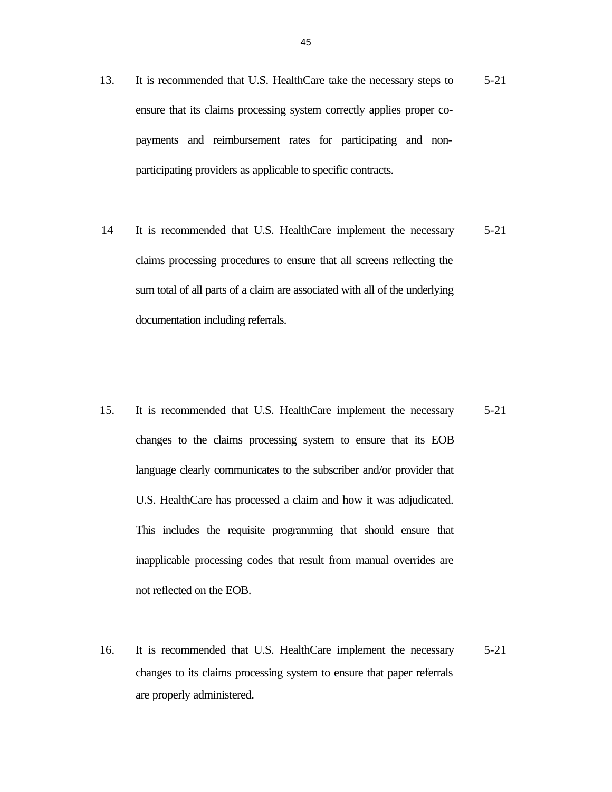- 13. It is recommended that U.S. HealthCare take the necessary steps to ensure that its claims processing system correctly applies proper copayments and reimbursement rates for participating and nonparticipating providers as applicable to specific contracts. 5-21
- 14 It is recommended that U.S. HealthCare implement the necessary claims processing procedures to ensure that all screens reflecting the sum total of all parts of a claim are associated with all of the underlying documentation including referrals. 5-21
- 15. It is recommended that U.S. HealthCare implement the necessary changes to the claims processing system to ensure that its EOB language clearly communicates to the subscriber and/or provider that U.S. HealthCare has processed a claim and how it was adjudicated. This includes the requisite programming that should ensure that inapplicable processing codes that result from manual overrides are not reflected on the EOB. 5-21
- 16. It is recommended that U.S. HealthCare implement the necessary changes to its claims processing system to ensure that paper referrals are properly administered. 5-21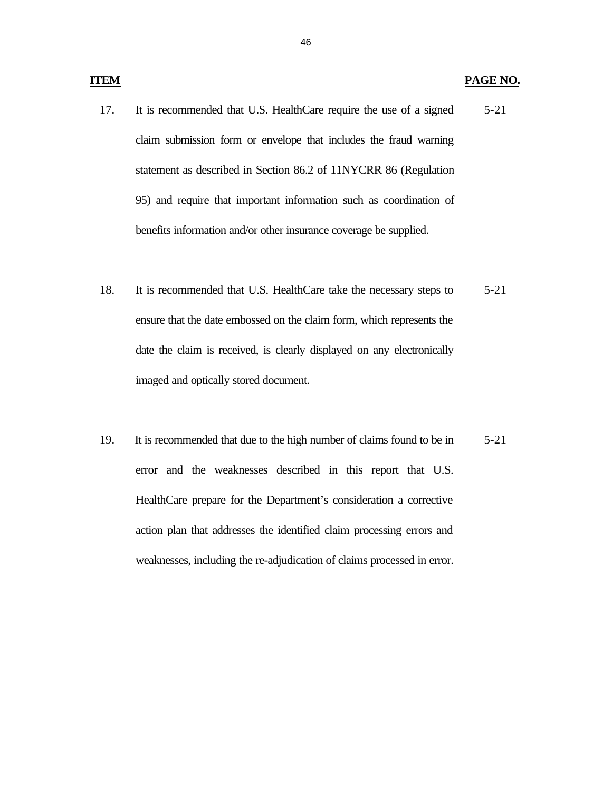#### **PAGE NO.**

- 17. It is recommended that U.S. HealthCare require the use of a signed claim submission form or envelope that includes the fraud warning statement as described in Section 86.2 of 11NYCRR 86 (Regulation 95) and require that important information such as coordination of benefits information and/or other insurance coverage be supplied. 5-21
- 18. It is recommended that U.S. HealthCare take the necessary steps to ensure that the date embossed on the claim form, which represents the date the claim is received, is clearly displayed on any electronically imaged and optically stored document. 5-21
- 19. It is recommended that due to the high number of claims found to be in error and the weaknesses described in this report that U.S. HealthCare prepare for the Department's consideration a corrective action plan that addresses the identified claim processing errors and weaknesses, including the re-adjudication of claims processed in error. 5-21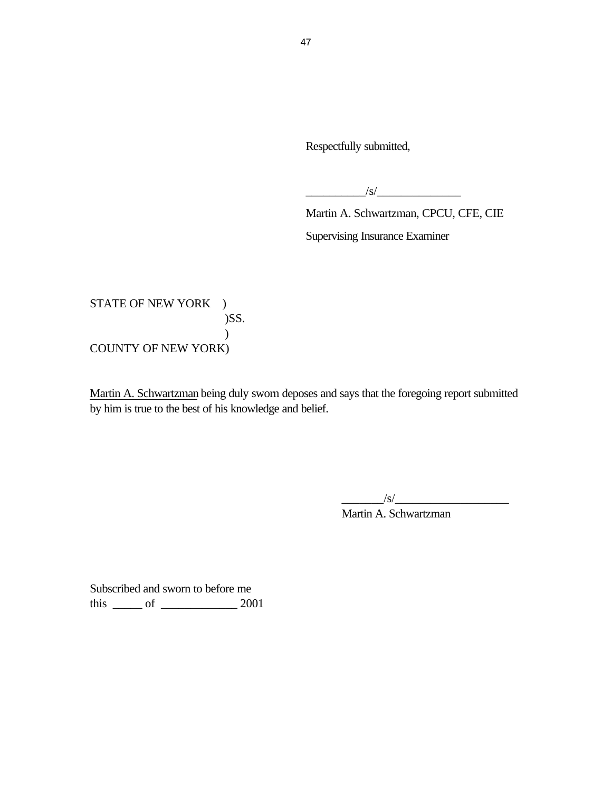Respectfully submitted,

 $\frac{1}{s}$ 

Martin A. Schwartzman, CPCU, CFE, CIE Supervising Insurance Examiner

STATE OF NEW YORK ) )SS. ) COUNTY OF NEW YORK)

Martin A. Schwartzman being duly sworn deposes and says that the foregoing report submitted by him is true to the best of his knowledge and belief.

 $\frac{1}{s}$ 

Martin A. Schwartzman

Subscribed and sworn to before me this \_\_\_\_\_ of \_\_\_\_\_\_\_\_\_\_\_\_\_ 2001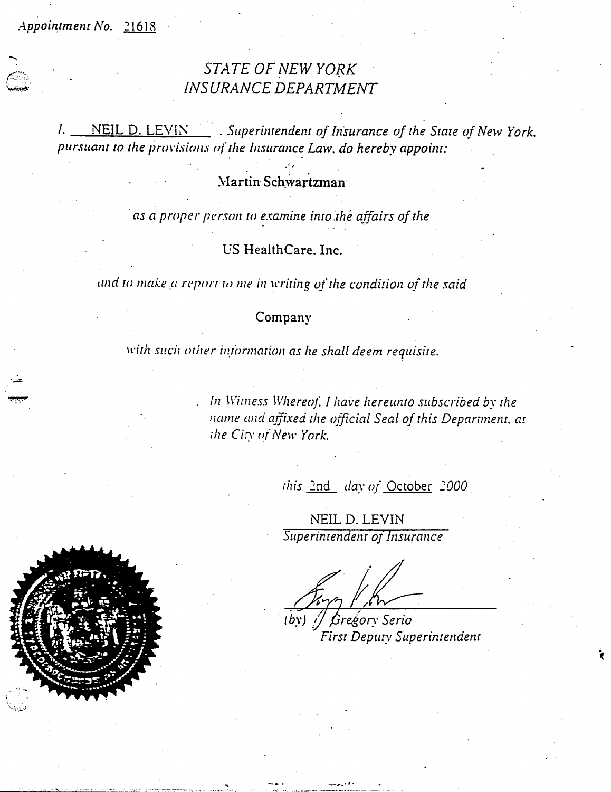Appointment No. 21618

# STATE OF NEW YORK **INSURANCE DEPARTMENT**

 $l_{\cdot}$  $\overline{\text{NEIL D. LEVIN}}$ . Superintendent of Insurance of the State of New York. pursuant to the provisions of the Insurance Law, do hereby appoint:

# Martin Schwartzman

as a proper person to examine into the affairs of the

US HealthCare. Inc.

and to make a report to me in writing of the condition of the said

# Company

with such other information as he shall deem requisite.

In Witness Whereof, I have hereunto subscribed by the name and affixed the official Seal of this Department, at the City of New York.

this 2nd day of October 2000

NEIL D. LEVIN Superintendent of Insurance

Gregor Serio  $(bv)$  / First Deputy Superintendent